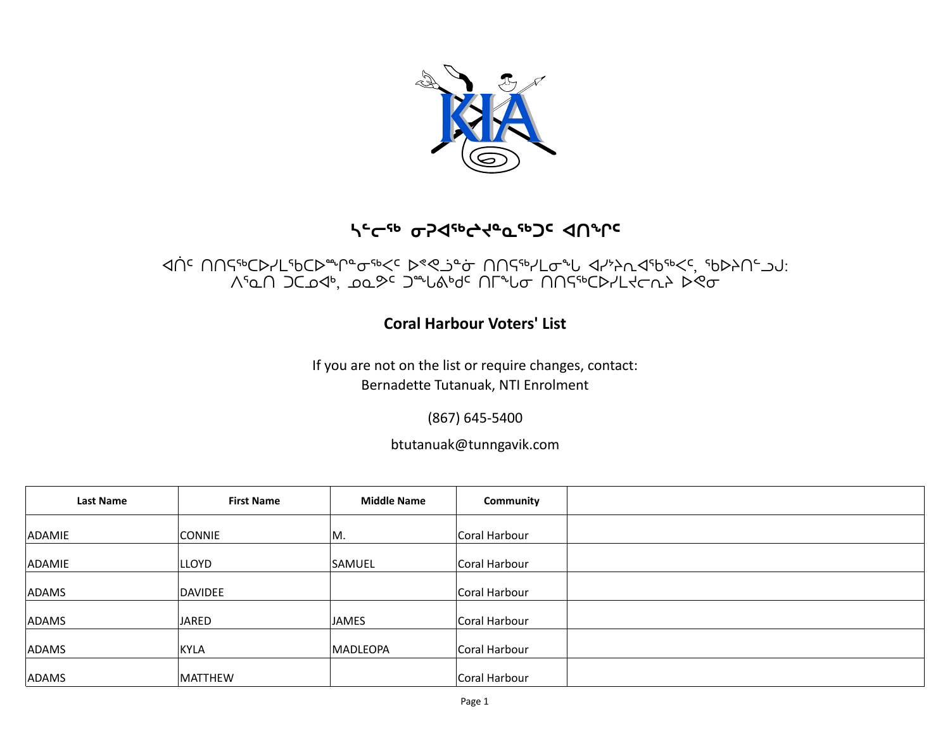

## **ᓴᓪᓕᖅ ᓂᕈᐊᖅᖠᔪᓐᓇᖅᑐᑦ ᐊᑎᖏᑦ**

## ᐊᑏᑦ ᑎᑎᕋᖅᑕᐅᓯᒪᖃᑕᐅᖖᒋᓐᓂᖅᐸᑦ ᐅᕝᕙᓘᓐᓃ ᑎᑎᕋᖅᓯᒪᓂᖓ ᐊᓯᔾᔨᕆᐊᖃᖅᐸᑦ, ᖃᐅᔨᑎᓪᓗᒍ: ∧∫Ⴍስ ጋርጔኆ, قصى א™ل‰ף ∩Гºלס ∩Ո۲º (Ch/Lלכה4 שפס

## **Coral Harbour Voters' List**

If you are not on the list or require changes, contact: Bernadette Tutanuak, NTI Enrolment

(867) 645-5400

btutanuak@tunngavik.com

| Last Name    | <b>First Name</b> | <b>Middle Name</b> | Community     |  |
|--------------|-------------------|--------------------|---------------|--|
| ADAMIE       | <b>CONNIE</b>     | MM.                | Coral Harbour |  |
| ADAMIE       | LLOYD             | SAMUEL             | Coral Harbour |  |
| <b>ADAMS</b> | <b>DAVIDEE</b>    |                    | Coral Harbour |  |
| <b>ADAMS</b> | JARED             | <b>JAMES</b>       | Coral Harbour |  |
| <b>ADAMS</b> | KYLA              | MADLEOPA           | Coral Harbour |  |
| ADAMS        | <b>MATTHEW</b>    |                    | Coral Harbour |  |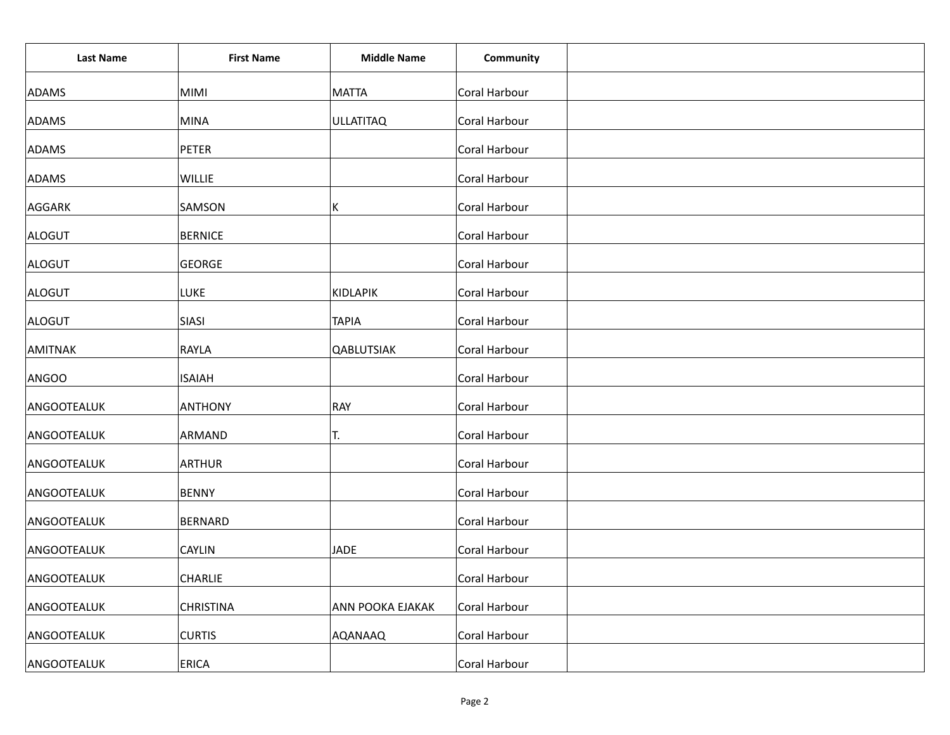| <b>Last Name</b> | <b>First Name</b> | <b>Middle Name</b> | Community     |  |
|------------------|-------------------|--------------------|---------------|--|
| ADAMS            | MIMI              | MATTA              | Coral Harbour |  |
| ADAMS            | MINA              | <b>ULLATITAQ</b>   | Coral Harbour |  |
| ADAMS            | PETER             |                    | Coral Harbour |  |
| ADAMS            | <b>WILLIE</b>     |                    | Coral Harbour |  |
| AGGARK           | SAMSON            | Κ                  | Coral Harbour |  |
| ALOGUT           | <b>BERNICE</b>    |                    | Coral Harbour |  |
| ALOGUT           | GEORGE            |                    | Coral Harbour |  |
| ALOGUT           | LUKE              | <b>KIDLAPIK</b>    | Coral Harbour |  |
| ALOGUT           | SIASI             | <b>TAPIA</b>       | Coral Harbour |  |
| AMITNAK          | RAYLA             | <b>QABLUTSIAK</b>  | Coral Harbour |  |
| ANGOO            | <b>ISAIAH</b>     |                    | Coral Harbour |  |
| ANGOOTEALUK      | ANTHONY           | <b>RAY</b>         | Coral Harbour |  |
| ANGOOTEALUK      | ARMAND            | T.                 | Coral Harbour |  |
| ANGOOTEALUK      | ARTHUR            |                    | Coral Harbour |  |
| ANGOOTEALUK      | BENNY             |                    | Coral Harbour |  |
| ANGOOTEALUK      | BERNARD           |                    | Coral Harbour |  |
| ANGOOTEALUK      | <b>CAYLIN</b>     | <b>JADE</b>        | Coral Harbour |  |
| ANGOOTEALUK      | <b>CHARLIE</b>    |                    | Coral Harbour |  |
| ANGOOTEALUK      | <b>CHRISTINA</b>  | ANN POOKA EJAKAK   | Coral Harbour |  |
| ANGOOTEALUK      | <b>CURTIS</b>     | AQANAAQ            | Coral Harbour |  |
| ANGOOTEALUK      | <b>ERICA</b>      |                    | Coral Harbour |  |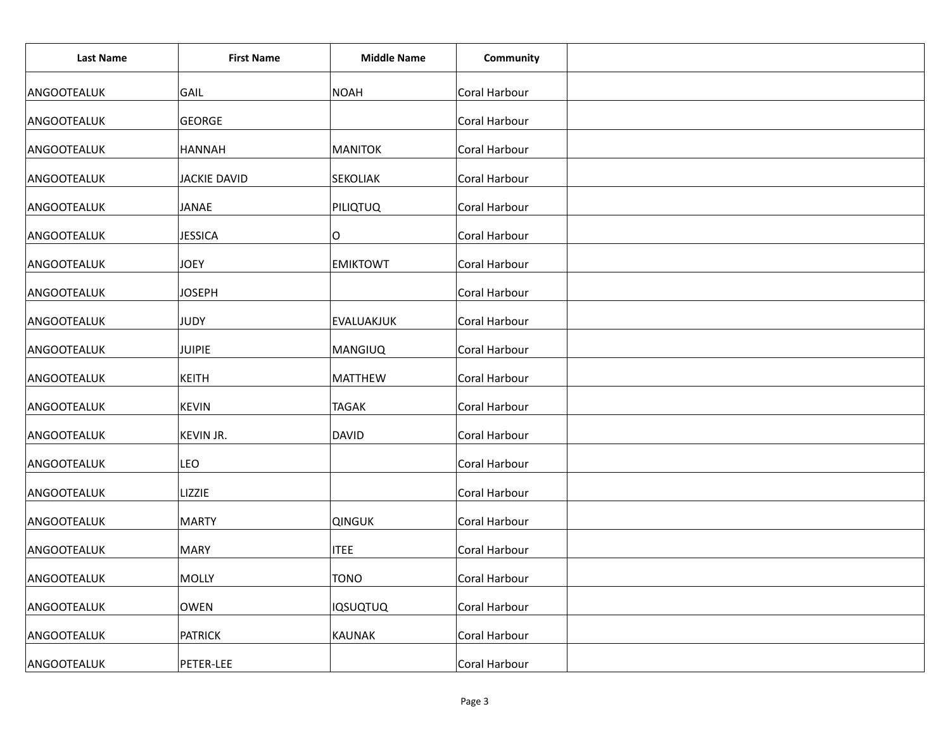| <b>Last Name</b> | <b>First Name</b>   | <b>Middle Name</b> | Community            |  |
|------------------|---------------------|--------------------|----------------------|--|
| ANGOOTEALUK      | GAIL                | NOAH               | Coral Harbour        |  |
| ANGOOTEALUK      | GEORGE              |                    | Coral Harbour        |  |
| ANGOOTEALUK      | <b>HANNAH</b>       | MANITOK            | Coral Harbour        |  |
| ANGOOTEALUK      | <b>JACKIE DAVID</b> | <b>SEKOLIAK</b>    | Coral Harbour        |  |
| ANGOOTEALUK      | <b>JANAE</b>        | <b>PILIQTUQ</b>    | Coral Harbour        |  |
| ANGOOTEALUK      | <b>JESSICA</b>      | 0                  | Coral Harbour        |  |
| ANGOOTEALUK      | <b>JOEY</b>         | <b>EMIKTOWT</b>    | Coral Harbour        |  |
| ANGOOTEALUK      | <b>JOSEPH</b>       |                    | Coral Harbour        |  |
| ANGOOTEALUK      | <b>JUDY</b>         | EVALUAKJUK         | Coral Harbour        |  |
| ANGOOTEALUK      | <b>JUIPIE</b>       | MANGIUQ            | <b>Coral Harbour</b> |  |
| ANGOOTEALUK      | <b>KEITH</b>        | <b>MATTHEW</b>     | Coral Harbour        |  |
| ANGOOTEALUK      | KEVIN               | <b>TAGAK</b>       | Coral Harbour        |  |
| ANGOOTEALUK      | KEVIN JR.           | <b>DAVID</b>       | Coral Harbour        |  |
| ANGOOTEALUK      | LEO                 |                    | Coral Harbour        |  |
| ANGOOTEALUK      | LIZZIE              |                    | Coral Harbour        |  |
| ANGOOTEALUK      | MARTY               | QINGUK             | Coral Harbour        |  |
| ANGOOTEALUK      | MARY                | <b>ITEE</b>        | Coral Harbour        |  |
| ANGOOTEALUK      | MOLLY               | TONO               | Coral Harbour        |  |
| ANGOOTEALUK      | OWEN                | <b>IQSUQTUQ</b>    | Coral Harbour        |  |
| ANGOOTEALUK      | PATRICK             | KAUNAK             | Coral Harbour        |  |
| ANGOOTEALUK      | PETER-LEE           |                    | Coral Harbour        |  |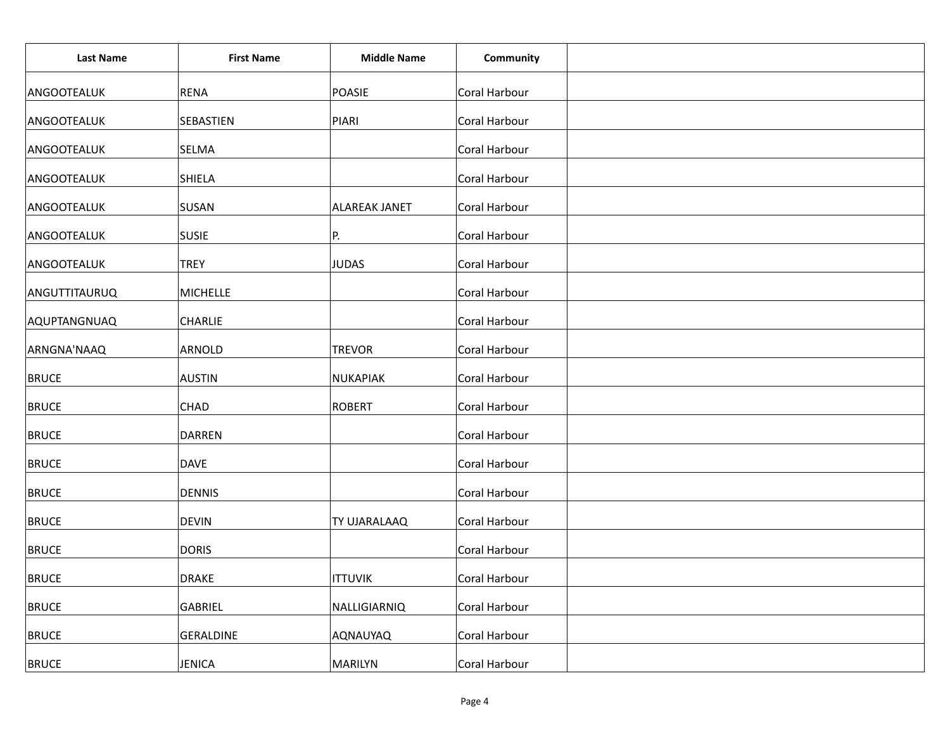| <b>Last Name</b> | <b>First Name</b> | <b>Middle Name</b>   | Community     |  |
|------------------|-------------------|----------------------|---------------|--|
| ANGOOTEALUK      | RENA              | <b>POASIE</b>        | Coral Harbour |  |
| ANGOOTEALUK      | SEBASTIEN         | PIARI                | Coral Harbour |  |
| ANGOOTEALUK      | <b>SELMA</b>      |                      | Coral Harbour |  |
| ANGOOTEALUK      | <b>SHIELA</b>     |                      | Coral Harbour |  |
| ANGOOTEALUK      | SUSAN             | <b>ALAREAK JANET</b> | Coral Harbour |  |
| ANGOOTEALUK      | <b>SUSIE</b>      | Р.                   | Coral Harbour |  |
| ANGOOTEALUK      | <b>TREY</b>       | JUDAS                | Coral Harbour |  |
| ANGUTTITAURUQ    | MICHELLE          |                      | Coral Harbour |  |
| AQUPTANGNUAQ     | <b>CHARLIE</b>    |                      | Coral Harbour |  |
| ARNGNA'NAAQ      | ARNOLD            | <b>TREVOR</b>        | Coral Harbour |  |
| <b>BRUCE</b>     | AUSTIN            | <b>NUKAPIAK</b>      | Coral Harbour |  |
| <b>BRUCE</b>     | <b>CHAD</b>       | <b>ROBERT</b>        | Coral Harbour |  |
| <b>BRUCE</b>     | DARREN            |                      | Coral Harbour |  |
| <b>BRUCE</b>     | DAVE              |                      | Coral Harbour |  |
| <b>BRUCE</b>     | DENNIS            |                      | Coral Harbour |  |
| <b>BRUCE</b>     | <b>DEVIN</b>      | <b>TY UJARALAAQ</b>  | Coral Harbour |  |
| <b>BRUCE</b>     | <b>DORIS</b>      |                      | Coral Harbour |  |
| <b>BRUCE</b>     | DRAKE             | <b>ITTUVIK</b>       | Coral Harbour |  |
| <b>BRUCE</b>     | GABRIEL           | NALLIGIARNIQ         | Coral Harbour |  |
| <b>BRUCE</b>     | GERALDINE         | AQNAUYAQ             | Coral Harbour |  |
| <b>BRUCE</b>     | JENICA            | MARILYN              | Coral Harbour |  |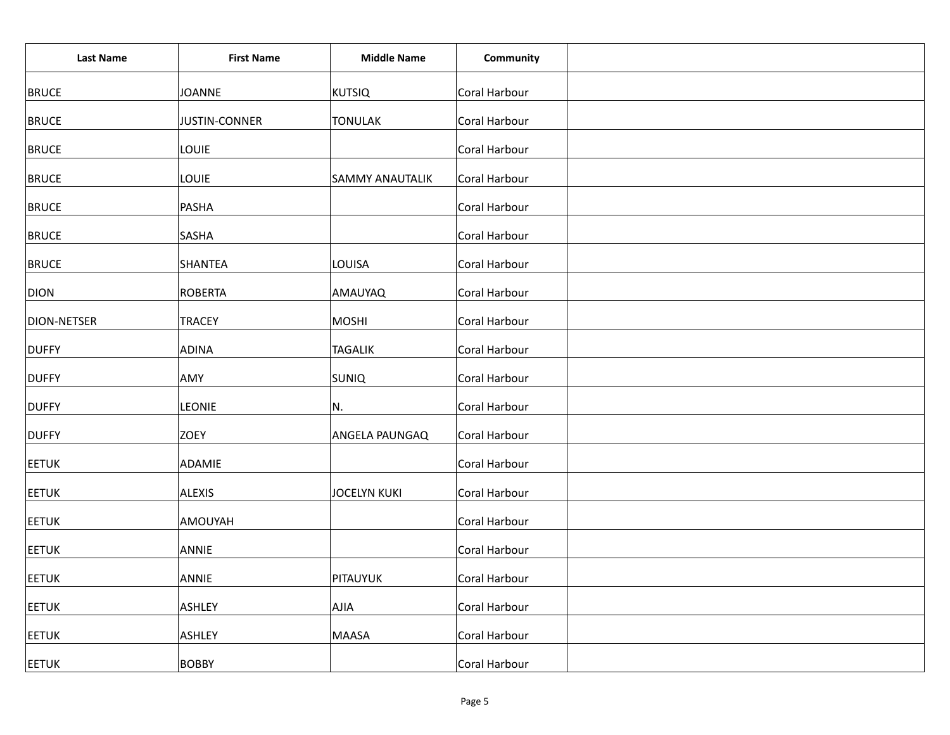| <b>Last Name</b> | <b>First Name</b> | <b>Middle Name</b>     | Community     |  |
|------------------|-------------------|------------------------|---------------|--|
| <b>BRUCE</b>     | JOANNE            | KUTSIQ                 | Coral Harbour |  |
| <b>BRUCE</b>     | JUSTIN-CONNER     | <b>TONULAK</b>         | Coral Harbour |  |
| <b>BRUCE</b>     | <b>LOUIE</b>      |                        | Coral Harbour |  |
| <b>BRUCE</b>     | <b>LOUIE</b>      | <b>SAMMY ANAUTALIK</b> | Coral Harbour |  |
| <b>BRUCE</b>     | <b>PASHA</b>      |                        | Coral Harbour |  |
| <b>BRUCE</b>     | <b>SASHA</b>      |                        | Coral Harbour |  |
| <b>BRUCE</b>     | <b>SHANTEA</b>    | LOUISA                 | Coral Harbour |  |
| <b>DION</b>      | <b>ROBERTA</b>    | AMAUYAQ                | Coral Harbour |  |
| DION-NETSER      | <b>TRACEY</b>     | <b>MOSHI</b>           | Coral Harbour |  |
| <b>DUFFY</b>     | <b>ADINA</b>      | <b>TAGALIK</b>         | Coral Harbour |  |
| <b>DUFFY</b>     | AMY               | SUNIQ                  | Coral Harbour |  |
| <b>DUFFY</b>     | <b>LEONIE</b>     | N.                     | Coral Harbour |  |
| <b>DUFFY</b>     | <b>ZOEY</b>       | ANGELA PAUNGAQ         | Coral Harbour |  |
| <b>EETUK</b>     | ADAMIE            |                        | Coral Harbour |  |
| <b>EETUK</b>     | ALEXIS            | <b>JOCELYN KUKI</b>    | Coral Harbour |  |
| <b>EETUK</b>     | AMOUYAH           |                        | Coral Harbour |  |
| <b>EETUK</b>     | ANNIE             |                        | Coral Harbour |  |
| <b>EETUK</b>     | ANNIE             | PITAUYUK               | Coral Harbour |  |
| <b>EETUK</b>     | ASHLEY            | AJIA                   | Coral Harbour |  |
| <b>EETUK</b>     | ASHLEY            | MAASA                  | Coral Harbour |  |
| <b>EETUK</b>     | <b>BOBBY</b>      |                        | Coral Harbour |  |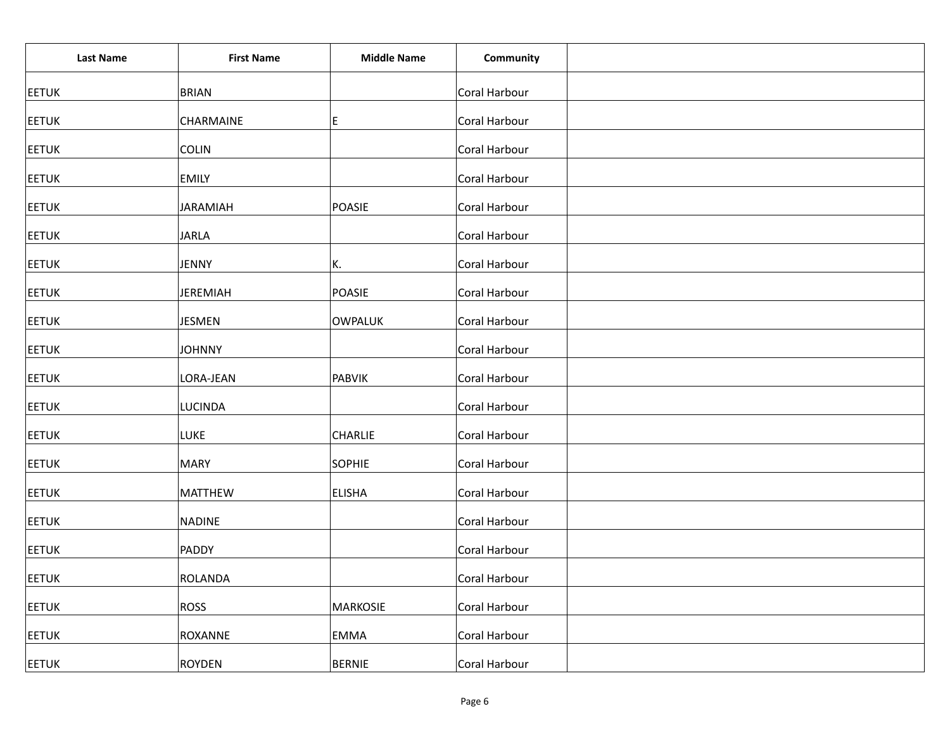| <b>Last Name</b> | <b>First Name</b> | <b>Middle Name</b> | Community     |  |
|------------------|-------------------|--------------------|---------------|--|
| <b>EETUK</b>     | <b>BRIAN</b>      |                    | Coral Harbour |  |
| <b>EETUK</b>     | <b>CHARMAINE</b>  | E                  | Coral Harbour |  |
| <b>EETUK</b>     | <b>COLIN</b>      |                    | Coral Harbour |  |
| <b>EETUK</b>     | <b>EMILY</b>      |                    | Coral Harbour |  |
| <b>EETUK</b>     | <b>JARAMIAH</b>   | <b>POASIE</b>      | Coral Harbour |  |
| <b>EETUK</b>     | JARLA             |                    | Coral Harbour |  |
| <b>EETUK</b>     | JENNY             | K.                 | Coral Harbour |  |
| <b>EETUK</b>     | <b>JEREMIAH</b>   | <b>POASIE</b>      | Coral Harbour |  |
| <b>EETUK</b>     | <b>JESMEN</b>     | <b>OWPALUK</b>     | Coral Harbour |  |
| <b>EETUK</b>     | JOHNNY            |                    | Coral Harbour |  |
| <b>EETUK</b>     | LORA-JEAN         | <b>PABVIK</b>      | Coral Harbour |  |
| <b>EETUK</b>     | <b>LUCINDA</b>    |                    | Coral Harbour |  |
| <b>EETUK</b>     | LUKE              | CHARLIE            | Coral Harbour |  |
| <b>EETUK</b>     | MARY              | <b>SOPHIE</b>      | Coral Harbour |  |
| <b>EETUK</b>     | MATTHEW           | <b>ELISHA</b>      | Coral Harbour |  |
| <b>EETUK</b>     | NADINE            |                    | Coral Harbour |  |
| <b>EETUK</b>     | PADDY             |                    | Coral Harbour |  |
| <b>EETUK</b>     | ROLANDA           |                    | Coral Harbour |  |
| <b>EETUK</b>     | ROSS              | <b>MARKOSIE</b>    | Coral Harbour |  |
| <b>EETUK</b>     | <b>ROXANNE</b>    | EMMA               | Coral Harbour |  |
| <b>EETUK</b>     | ROYDEN            | BERNIE             | Coral Harbour |  |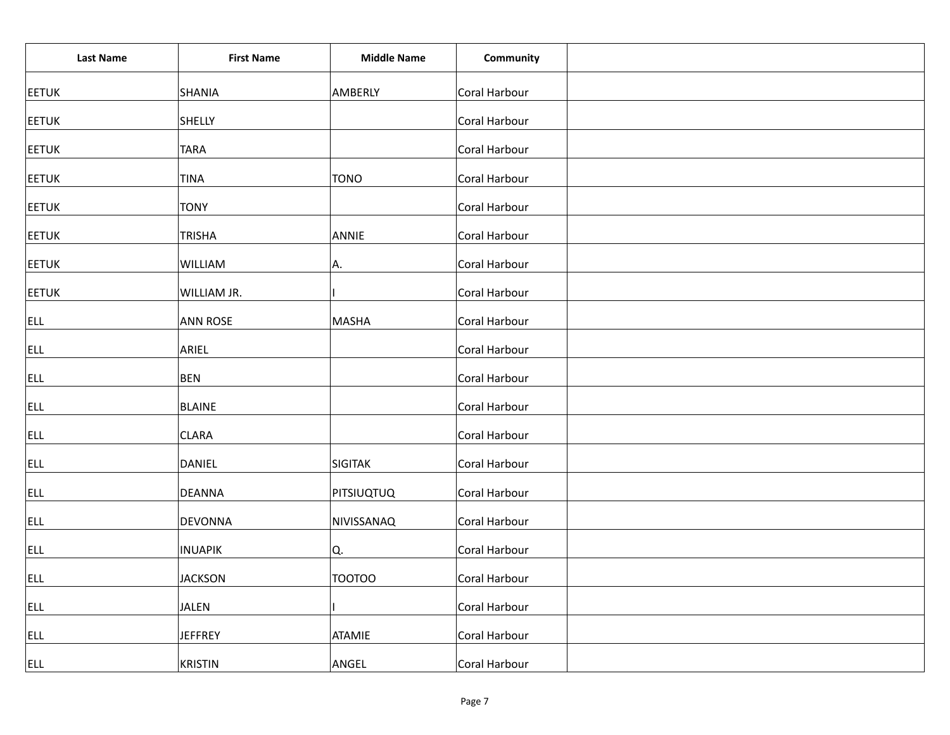| <b>Last Name</b> | <b>First Name</b> | <b>Middle Name</b> | Community     |  |
|------------------|-------------------|--------------------|---------------|--|
| <b>EETUK</b>     | SHANIA            | AMBERLY            | Coral Harbour |  |
| <b>EETUK</b>     | SHELLY            |                    | Coral Harbour |  |
| <b>EETUK</b>     | <b>TARA</b>       |                    | Coral Harbour |  |
| <b>EETUK</b>     | TINA              | <b>TONO</b>        | Coral Harbour |  |
| <b>EETUK</b>     | <b>TONY</b>       |                    | Coral Harbour |  |
| <b>EETUK</b>     | <b>TRISHA</b>     | ANNIE              | Coral Harbour |  |
| <b>EETUK</b>     | WILLIAM           | A.                 | Coral Harbour |  |
| <b>EETUK</b>     | WILLIAM JR.       |                    | Coral Harbour |  |
| ELL              | <b>ANN ROSE</b>   | <b>MASHA</b>       | Coral Harbour |  |
| ELL              | ARIEL             |                    | Coral Harbour |  |
| <b>ELL</b>       | BEN               |                    | Coral Harbour |  |
| <b>ELL</b>       | BLAINE            |                    | Coral Harbour |  |
| <b>ELL</b>       | <b>CLARA</b>      |                    | Coral Harbour |  |
| ELL              | DANIEL            | SIGITAK            | Coral Harbour |  |
| <b>ELL</b>       | DEANNA            | PITSIUQTUQ         | Coral Harbour |  |
| <b>ELL</b>       | DEVONNA           | NIVISSANAQ         | Coral Harbour |  |
| <b>ELL</b>       | INUAPIK           | Q.                 | Coral Harbour |  |
| <b>ELL</b>       | <b>JACKSON</b>    | TOOTOO             | Coral Harbour |  |
| ELL              | JALEN             |                    | Coral Harbour |  |
| <b>ELL</b>       | JEFFREY           | <b>ATAMIE</b>      | Coral Harbour |  |
| ELL              | KRISTIN           | ANGEL              | Coral Harbour |  |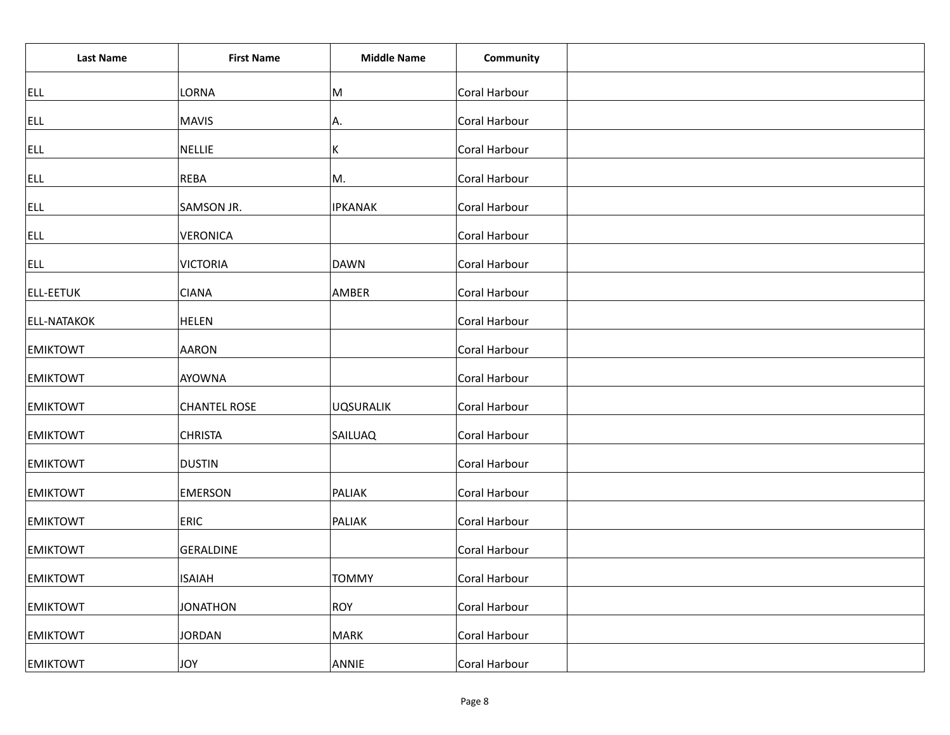| <b>Last Name</b>   | <b>First Name</b>   | <b>Middle Name</b> | Community     |  |
|--------------------|---------------------|--------------------|---------------|--|
| ELL                | <b>LORNA</b>        | M                  | Coral Harbour |  |
| ELL                | MAVIS               | А.                 | Coral Harbour |  |
| ELL                | NELLIE              | K                  | Coral Harbour |  |
| ELL                | <b>REBA</b>         | M.                 | Coral Harbour |  |
| ELL                | SAMSON JR.          | <b>IPKANAK</b>     | Coral Harbour |  |
| ELL                | <b>VERONICA</b>     |                    | Coral Harbour |  |
| <b>ELL</b>         | <b>VICTORIA</b>     | <b>DAWN</b>        | Coral Harbour |  |
| <b>ELL-EETUK</b>   | <b>CIANA</b>        | AMBER              | Coral Harbour |  |
| <b>ELL-NATAKOK</b> | <b>HELEN</b>        |                    | Coral Harbour |  |
| <b>EMIKTOWT</b>    | <b>AARON</b>        |                    | Coral Harbour |  |
| <b>EMIKTOWT</b>    | <b>AYOWNA</b>       |                    | Coral Harbour |  |
| <b>EMIKTOWT</b>    | <b>CHANTEL ROSE</b> | <b>UQSURALIK</b>   | Coral Harbour |  |
| <b>EMIKTOWT</b>    | <b>CHRISTA</b>      | SAILUAQ            | Coral Harbour |  |
| <b>EMIKTOWT</b>    | <b>DUSTIN</b>       |                    | Coral Harbour |  |
| <b>EMIKTOWT</b>    | <b>EMERSON</b>      | PALIAK             | Coral Harbour |  |
| <b>EMIKTOWT</b>    | <b>ERIC</b>         | PALIAK             | Coral Harbour |  |
| <b>EMIKTOWT</b>    | <b>GERALDINE</b>    |                    | Coral Harbour |  |
| <b>EMIKTOWT</b>    | <b>ISAIAH</b>       | <b>TOMMY</b>       | Coral Harbour |  |
| <b>EMIKTOWT</b>    | JONATHON            | ROY                | Coral Harbour |  |
| <b>EMIKTOWT</b>    | <b>JORDAN</b>       | MARK               | Coral Harbour |  |
| <b>EMIKTOWT</b>    | JOY                 | ANNIE              | Coral Harbour |  |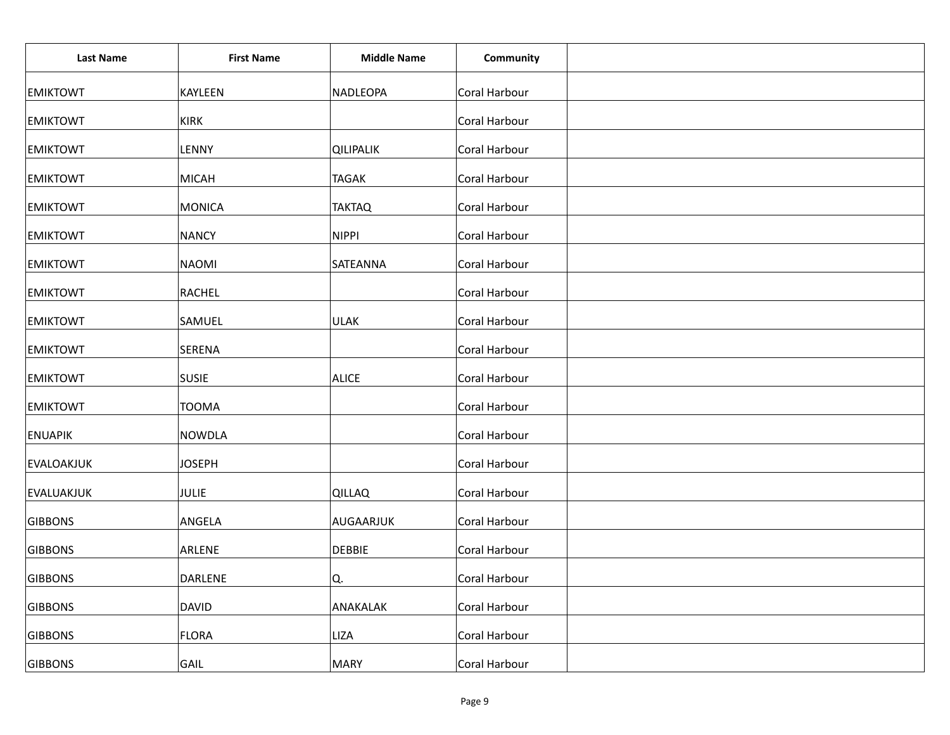| <b>Last Name</b> | <b>First Name</b> | <b>Middle Name</b> | Community     |  |
|------------------|-------------------|--------------------|---------------|--|
| <b>EMIKTOWT</b>  | <b>KAYLEEN</b>    | NADLEOPA           | Coral Harbour |  |
| <b>EMIKTOWT</b>  | KIRK              |                    | Coral Harbour |  |
| <b>EMIKTOWT</b>  | LENNY             | <b>QILIPALIK</b>   | Coral Harbour |  |
| <b>EMIKTOWT</b>  | MICAH             | <b>TAGAK</b>       | Coral Harbour |  |
| <b>EMIKTOWT</b>  | MONICA            | <b>TAKTAQ</b>      | Coral Harbour |  |
| <b>EMIKTOWT</b>  | <b>NANCY</b>      | NIPPI              | Coral Harbour |  |
| <b>EMIKTOWT</b>  | <b>NAOMI</b>      | SATEANNA           | Coral Harbour |  |
| <b>EMIKTOWT</b>  | RACHEL            |                    | Coral Harbour |  |
| <b>EMIKTOWT</b>  | SAMUEL            | ULAK               | Coral Harbour |  |
| <b>EMIKTOWT</b>  | SERENA            |                    | Coral Harbour |  |
| <b>EMIKTOWT</b>  | <b>SUSIE</b>      | <b>ALICE</b>       | Coral Harbour |  |
| <b>EMIKTOWT</b>  | <b>TOOMA</b>      |                    | Coral Harbour |  |
| <b>ENUAPIK</b>   | NOWDLA            |                    | Coral Harbour |  |
| EVALOAKJUK       | <b>JOSEPH</b>     |                    | Coral Harbour |  |
| EVALUAKJUK       | JULIE             | <b>QILLAQ</b>      | Coral Harbour |  |
| <b>GIBBONS</b>   | ANGELA            | AUGAARJUK          | Coral Harbour |  |
| GIBBONS          | ARLENE            | <b>DEBBIE</b>      | Coral Harbour |  |
| GIBBONS          | DARLENE           | Q.                 | Coral Harbour |  |
| <b>GIBBONS</b>   | DAVID             | ANAKALAK           | Coral Harbour |  |
| <b>GIBBONS</b>   | FLORA             | LIZA               | Coral Harbour |  |
| <b>GIBBONS</b>   | GAIL              | MARY               | Coral Harbour |  |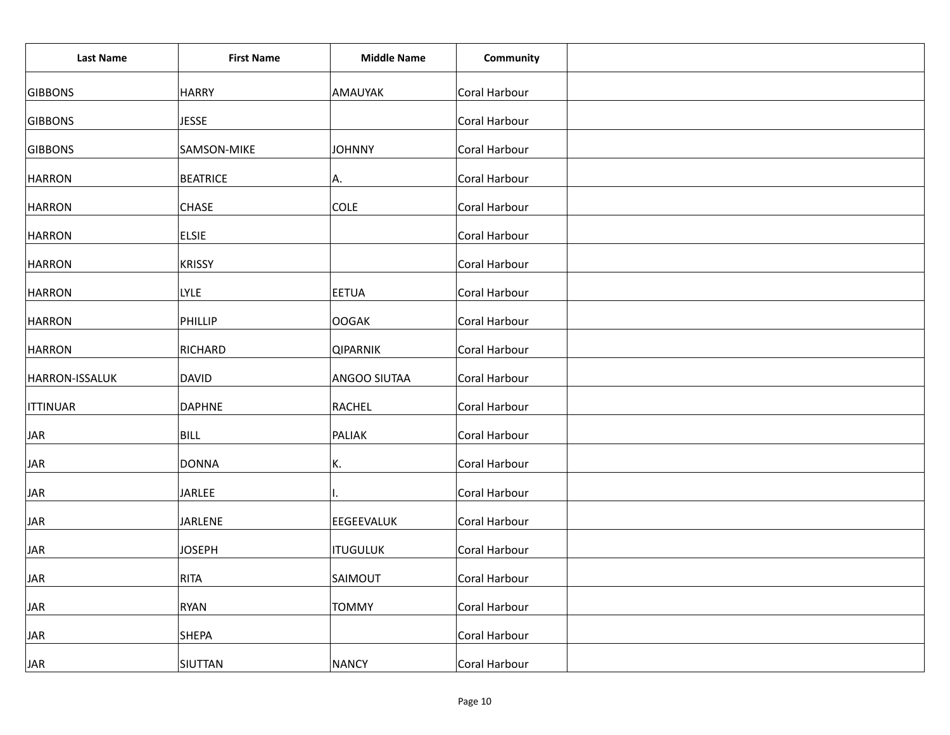| <b>Last Name</b> | <b>First Name</b> | <b>Middle Name</b>  | Community     |  |
|------------------|-------------------|---------------------|---------------|--|
| <b>GIBBONS</b>   | HARRY             | AMAUYAK             | Coral Harbour |  |
| <b>GIBBONS</b>   | JESSE             |                     | Coral Harbour |  |
| <b>GIBBONS</b>   | SAMSON-MIKE       | <b>JOHNNY</b>       | Coral Harbour |  |
| HARRON           | BEATRICE          | A.                  | Coral Harbour |  |
| HARRON           | <b>CHASE</b>      | <b>COLE</b>         | Coral Harbour |  |
| HARRON           | <b>ELSIE</b>      |                     | Coral Harbour |  |
| HARRON           | KRISSY            |                     | Coral Harbour |  |
| HARRON           | Lyle              | <b>EETUA</b>        | Coral Harbour |  |
| HARRON           | PHILLIP           | <b>OOGAK</b>        | Coral Harbour |  |
| HARRON           | RICHARD           | <b>QIPARNIK</b>     | Coral Harbour |  |
| HARRON-ISSALUK   | <b>DAVID</b>      | <b>ANGOO SIUTAA</b> | Coral Harbour |  |
| <b>ITTINUAR</b>  | DAPHNE            | <b>RACHEL</b>       | Coral Harbour |  |
| <b>JAR</b>       | BILL              | PALIAK              | Coral Harbour |  |
| <b>JAR</b>       | DONNA             | К.                  | Coral Harbour |  |
| <b>JAR</b>       | JARLEE            |                     | Coral Harbour |  |
| <b>JAR</b>       | JARLENE           | <b>EEGEEVALUK</b>   | Coral Harbour |  |
| <b>JAR</b>       | <b>JOSEPH</b>     | <b>ITUGULUK</b>     | Coral Harbour |  |
| JAR              | RITA              | SAIMOUT             | Coral Harbour |  |
| JAR              | RYAN              | <b>TOMMY</b>        | Coral Harbour |  |
| JAR              | <b>SHEPA</b>      |                     | Coral Harbour |  |
| JAR              | SIUTTAN           | NANCY               | Coral Harbour |  |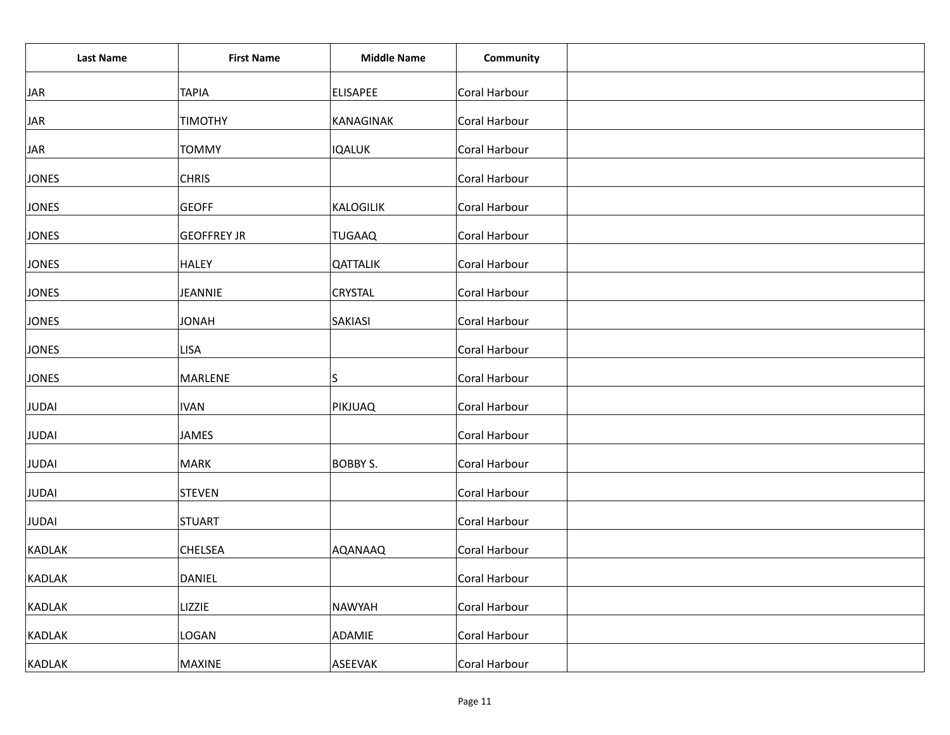| <b>Last Name</b> | <b>First Name</b>  | <b>Middle Name</b> | Community     |  |
|------------------|--------------------|--------------------|---------------|--|
| JAR              | <b>TAPIA</b>       | <b>ELISAPEE</b>    | Coral Harbour |  |
| JAR              | <b>TIMOTHY</b>     | KANAGINAK          | Coral Harbour |  |
| JAR              | <b>TOMMY</b>       | <b>IQALUK</b>      | Coral Harbour |  |
| JONES            | <b>CHRIS</b>       |                    | Coral Harbour |  |
| JONES            | <b>GEOFF</b>       | <b>KALOGILIK</b>   | Coral Harbour |  |
| JONES            | <b>GEOFFREY JR</b> | <b>TUGAAQ</b>      | Coral Harbour |  |
| JONES            | <b>HALEY</b>       | <b>QATTALIK</b>    | Coral Harbour |  |
| JONES            | <b>JEANNIE</b>     | <b>CRYSTAL</b>     | Coral Harbour |  |
| JONES            | <b>JONAH</b>       | SAKIASI            | Coral Harbour |  |
| JONES            | <b>LISA</b>        |                    | Coral Harbour |  |
| JONES            | <b>MARLENE</b>     | S                  | Coral Harbour |  |
| JUDAI            | <b>IVAN</b>        | PIKJUAQ            | Coral Harbour |  |
| JUDAI            | JAMES              |                    | Coral Harbour |  |
| JUDAI            | MARK               | <b>BOBBY S.</b>    | Coral Harbour |  |
| JUDAI            | <b>STEVEN</b>      |                    | Coral Harbour |  |
| JUDAI            | STUART             |                    | Coral Harbour |  |
| KADLAK           | <b>CHELSEA</b>     | <b>AQANAAQ</b>     | Coral Harbour |  |
| KADLAK           | DANIEL             |                    | Coral Harbour |  |
| KADLAK           | LIZZIE             | <b>NAWYAH</b>      | Coral Harbour |  |
| KADLAK           | <b>LOGAN</b>       | ADAMIE             | Coral Harbour |  |
| KADLAK           | MAXINE             | ASEEVAK            | Coral Harbour |  |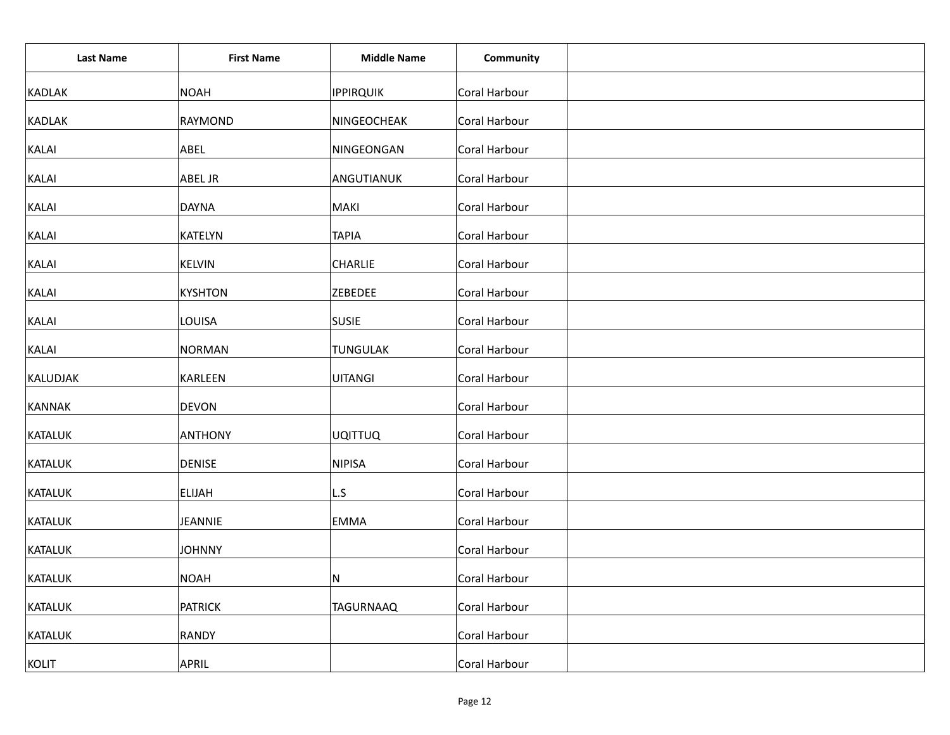| <b>Last Name</b> | <b>First Name</b> | <b>Middle Name</b> | Community     |  |
|------------------|-------------------|--------------------|---------------|--|
| KADLAK           | NOAH              | <b>IPPIRQUIK</b>   | Coral Harbour |  |
| KADLAK           | RAYMOND           | NINGEOCHEAK        | Coral Harbour |  |
| KALAI            | ABEL              | NINGEONGAN         | Coral Harbour |  |
| KALAI            | ABEL JR           | ANGUTIANUK         | Coral Harbour |  |
| KALAI            | <b>DAYNA</b>      | MAKI               | Coral Harbour |  |
| KALAI            | <b>KATELYN</b>    | <b>TAPIA</b>       | Coral Harbour |  |
| KALAI            | <b>KELVIN</b>     | <b>CHARLIE</b>     | Coral Harbour |  |
| KALAI            | KYSHTON           | <b>ZEBEDEE</b>     | Coral Harbour |  |
| KALAI            | LOUISA            | <b>SUSIE</b>       | Coral Harbour |  |
| KALAI            | NORMAN            | <b>TUNGULAK</b>    | Coral Harbour |  |
| KALUDJAK         | KARLEEN           | <b>UITANGI</b>     | Coral Harbour |  |
| KANNAK           | DEVON             |                    | Coral Harbour |  |
| KATALUK          | ANTHONY           | <b>UQITTUQ</b>     | Coral Harbour |  |
| KATALUK          | DENISE            | <b>NIPISA</b>      | Coral Harbour |  |
| KATALUK          | <b>ELIJAH</b>     | L.S                | Coral Harbour |  |
| KATALUK          | JEANNIE           | <b>EMMA</b>        | Coral Harbour |  |
| KATALUK          | <b>JOHNNY</b>     |                    | Coral Harbour |  |
| KATALUK          | NOAH              | IN.                | Coral Harbour |  |
| KATALUK          | PATRICK           | <b>TAGURNAAQ</b>   | Coral Harbour |  |
| KATALUK          | RANDY             |                    | Coral Harbour |  |
| KOLIT            | APRIL             |                    | Coral Harbour |  |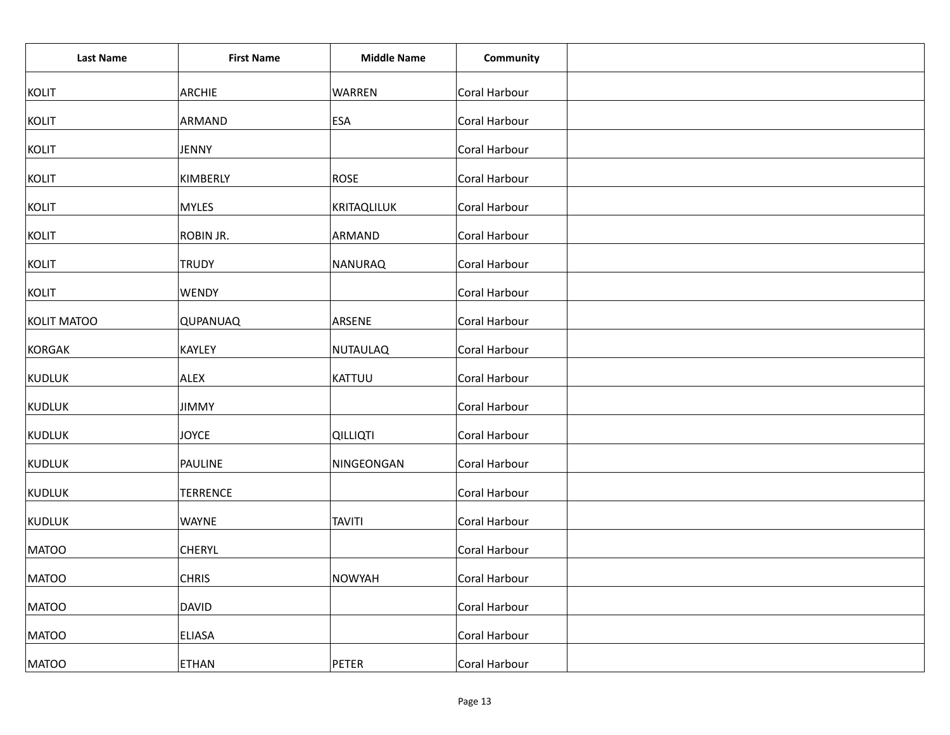| <b>Last Name</b> | <b>First Name</b> | <b>Middle Name</b> | Community     |  |
|------------------|-------------------|--------------------|---------------|--|
| KOLIT            | ARCHIE            | WARREN             | Coral Harbour |  |
| KOLIT            | <b>ARMAND</b>     | <b>ESA</b>         | Coral Harbour |  |
| KOLIT            | JENNY             |                    | Coral Harbour |  |
| KOLIT            | <b>KIMBERLY</b>   | <b>ROSE</b>        | Coral Harbour |  |
| KOLIT            | MYLES             | KRITAQLILUK        | Coral Harbour |  |
| KOLIT            | ROBIN JR.         | ARMAND             | Coral Harbour |  |
| KOLIT            | <b>TRUDY</b>      | <b>NANURAQ</b>     | Coral Harbour |  |
| KOLIT            | <b>WENDY</b>      |                    | Coral Harbour |  |
| KOLIT MATOO      | <b>QUPANUAQ</b>   | ARSENE             | Coral Harbour |  |
| KORGAK           | <b>KAYLEY</b>     | <b>NUTAULAQ</b>    | Coral Harbour |  |
| KUDLUK           | <b>ALEX</b>       | <b>KATTUU</b>      | Coral Harbour |  |
| KUDLUK           | <b>JIMMY</b>      |                    | Coral Harbour |  |
| KUDLUK           | <b>JOYCE</b>      | <b>QILLIQTI</b>    | Coral Harbour |  |
| KUDLUK           | PAULINE           | NINGEONGAN         | Coral Harbour |  |
| KUDLUK           | <b>TERRENCE</b>   |                    | Coral Harbour |  |
| KUDLUK           | <b>WAYNE</b>      | <b>TAVITI</b>      | Coral Harbour |  |
| MATOO            | <b>CHERYL</b>     |                    | Coral Harbour |  |
| MATOO            | <b>CHRIS</b>      | NOWYAH             | Coral Harbour |  |
| MATOO            | <b>DAVID</b>      |                    | Coral Harbour |  |
| MATOO            | <b>ELIASA</b>     |                    | Coral Harbour |  |
| MATOO            | <b>ETHAN</b>      | PETER              | Coral Harbour |  |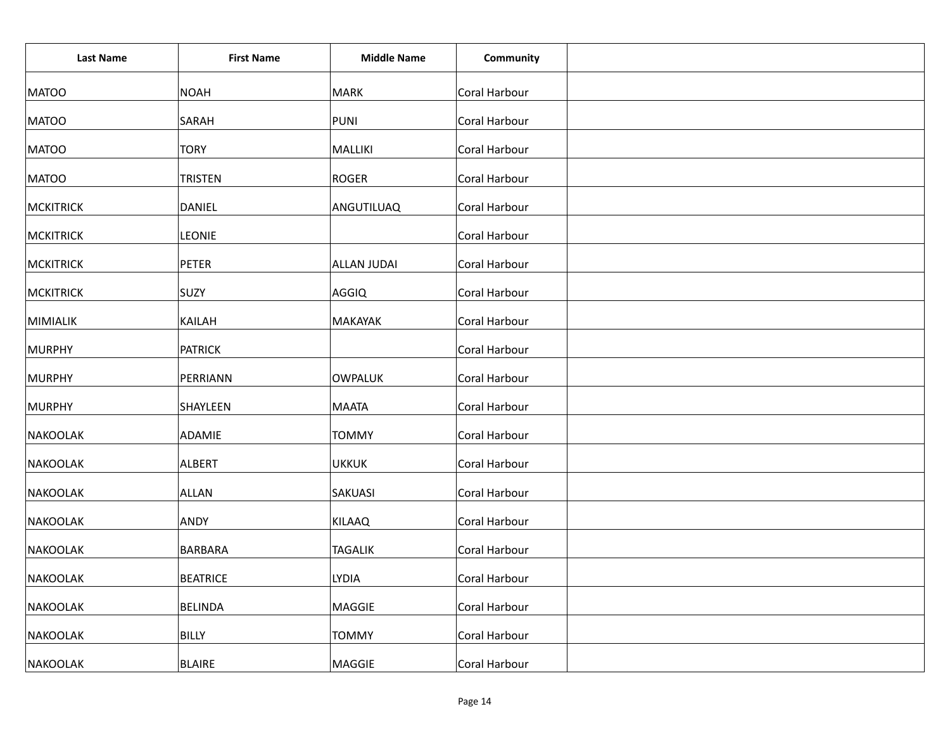| <b>Last Name</b> | <b>First Name</b> | <b>Middle Name</b> | Community     |  |
|------------------|-------------------|--------------------|---------------|--|
| <b>MATOO</b>     | NOAH              | MARK               | Coral Harbour |  |
| <b>MATOO</b>     | SARAH             | PUNI               | Coral Harbour |  |
| <b>MATOO</b>     | <b>TORY</b>       | MALLIKI            | Coral Harbour |  |
| <b>MATOO</b>     | <b>TRISTEN</b>    | ROGER              | Coral Harbour |  |
| MCKITRICK        | DANIEL            | ANGUTILUAQ         | Coral Harbour |  |
| MCKITRICK        | <b>LEONIE</b>     |                    | Coral Harbour |  |
| <b>MCKITRICK</b> | <b>PETER</b>      | ALLAN JUDAI        | Coral Harbour |  |
| MCKITRICK        | <b>SUZY</b>       | AGGIQ              | Coral Harbour |  |
| MIMIALIK         | <b>KAILAH</b>     | <b>MAKAYAK</b>     | Coral Harbour |  |
| MURPHY           | PATRICK           |                    | Coral Harbour |  |
| MURPHY           | PERRIANN          | OWPALUK            | Coral Harbour |  |
| MURPHY           | SHAYLEEN          | <b>MAATA</b>       | Coral Harbour |  |
| NAKOOLAK         | ADAMIE            | <b>TOMMY</b>       | Coral Harbour |  |
| NAKOOLAK         | ALBERT            | <b>UKKUK</b>       | Coral Harbour |  |
| NAKOOLAK         | ALLAN             | SAKUASI            | Coral Harbour |  |
| NAKOOLAK         | ANDY              | KILAAQ             | Coral Harbour |  |
| NAKOOLAK         | BARBARA           | <b>TAGALIK</b>     | Coral Harbour |  |
| NAKOOLAK         | <b>BEATRICE</b>   | LYDIA              | Coral Harbour |  |
| NAKOOLAK         | BELINDA           | MAGGIE             | Coral Harbour |  |
| NAKOOLAK         | BILLY             | <b>TOMMY</b>       | Coral Harbour |  |
| NAKOOLAK         | BLAIRE            | MAGGIE             | Coral Harbour |  |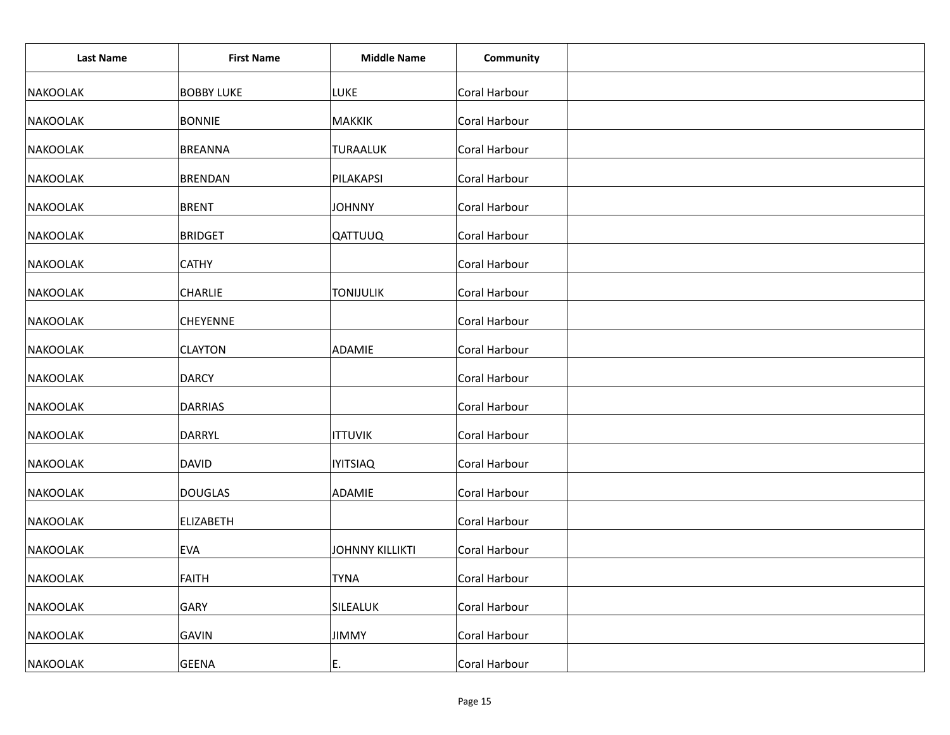| <b>Last Name</b> | <b>First Name</b> | <b>Middle Name</b>     | Community     |  |
|------------------|-------------------|------------------------|---------------|--|
| NAKOOLAK         | <b>BOBBY LUKE</b> | <b>LUKE</b>            | Coral Harbour |  |
| NAKOOLAK         | <b>BONNIE</b>     | MAKKIK                 | Coral Harbour |  |
| NAKOOLAK         | BREANNA           | <b>TURAALUK</b>        | Coral Harbour |  |
| NAKOOLAK         | BRENDAN           | PILAKAPSI              | Coral Harbour |  |
| NAKOOLAK         | <b>BRENT</b>      | <b>JOHNNY</b>          | Coral Harbour |  |
| NAKOOLAK         | <b>BRIDGET</b>    | QATTUUQ                | Coral Harbour |  |
| NAKOOLAK         | <b>CATHY</b>      |                        | Coral Harbour |  |
| NAKOOLAK         | <b>CHARLIE</b>    | <b>TONIJULIK</b>       | Coral Harbour |  |
| NAKOOLAK         | <b>CHEYENNE</b>   |                        | Coral Harbour |  |
| NAKOOLAK         | <b>CLAYTON</b>    | ADAMIE                 | Coral Harbour |  |
| NAKOOLAK         | <b>DARCY</b>      |                        | Coral Harbour |  |
| NAKOOLAK         | <b>DARRIAS</b>    |                        | Coral Harbour |  |
| NAKOOLAK         | <b>DARRYL</b>     | <b>ITTUVIK</b>         | Coral Harbour |  |
| NAKOOLAK         | DAVID             | <b>IYITSIAQ</b>        | Coral Harbour |  |
| NAKOOLAK         | DOUGLAS           | ADAMIE                 | Coral Harbour |  |
| NAKOOLAK         | ELIZABETH         |                        | Coral Harbour |  |
| NAKOOLAK         | <b>EVA</b>        | <b>JOHNNY KILLIKTI</b> | Coral Harbour |  |
| NAKOOLAK         | FAITH             | <b>TYNA</b>            | Coral Harbour |  |
| NAKOOLAK         | GARY              | SILEALUK               | Coral Harbour |  |
| NAKOOLAK         | GAVIN             | JIMMY                  | Coral Harbour |  |
| NAKOOLAK         | GEENA             | E.                     | Coral Harbour |  |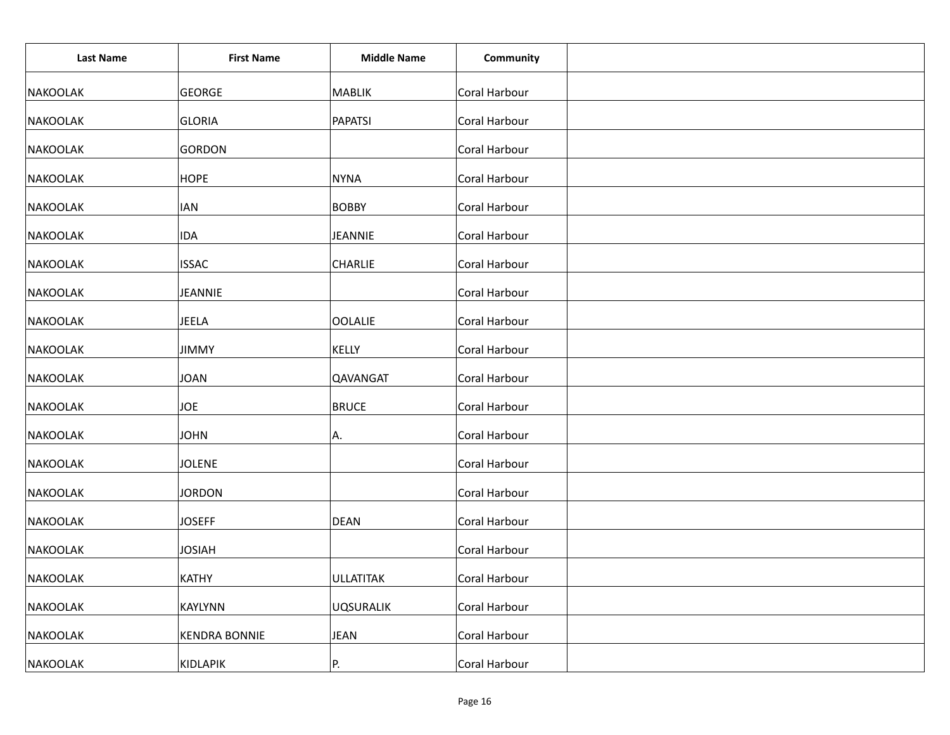| <b>Last Name</b> | <b>First Name</b> | <b>Middle Name</b> | Community     |  |
|------------------|-------------------|--------------------|---------------|--|
| NAKOOLAK         | GEORGE            | MABLIK             | Coral Harbour |  |
| NAKOOLAK         | GLORIA            | PAPATSI            | Coral Harbour |  |
| NAKOOLAK         | GORDON            |                    | Coral Harbour |  |
| NAKOOLAK         | <b>HOPE</b>       | <b>NYNA</b>        | Coral Harbour |  |
| <b>NAKOOLAK</b>  | <b>IAN</b>        | <b>BOBBY</b>       | Coral Harbour |  |
| <b>NAKOOLAK</b>  | <b>IDA</b>        | JEANNIE            | Coral Harbour |  |
| <b>NAKOOLAK</b>  | <b>ISSAC</b>      | CHARLIE            | Coral Harbour |  |
| <b>NAKOOLAK</b>  | JEANNIE           |                    | Coral Harbour |  |
| <b>NAKOOLAK</b>  | JEELA             | OOLALIE            | Coral Harbour |  |
| <b>NAKOOLAK</b>  | JIMMY             | KELLY              | Coral Harbour |  |
| <b>NAKOOLAK</b>  | JOAN              | <b>QAVANGAT</b>    | Coral Harbour |  |
| <b>NAKOOLAK</b>  | JOE               | <b>BRUCE</b>       | Coral Harbour |  |
| <b>NAKOOLAK</b>  | <b>JOHN</b>       | A.                 | Coral Harbour |  |
| <b>NAKOOLAK</b>  | <b>JOLENE</b>     |                    | Coral Harbour |  |
| NAKOOLAK         | <b>JORDON</b>     |                    | Coral Harbour |  |
| NAKOOLAK         | <b>JOSEFF</b>     | <b>DEAN</b>        | Coral Harbour |  |
| NAKOOLAK         | <b>JOSIAH</b>     |                    | Coral Harbour |  |
| NAKOOLAK         | KATHY             | <b>ULLATITAK</b>   | Coral Harbour |  |
| NAKOOLAK         | KAYLYNN           | <b>UQSURALIK</b>   | Coral Harbour |  |
| NAKOOLAK         | KENDRA BONNIE     | JEAN               | Coral Harbour |  |
| NAKOOLAK         | KIDLAPIK          | P.                 | Coral Harbour |  |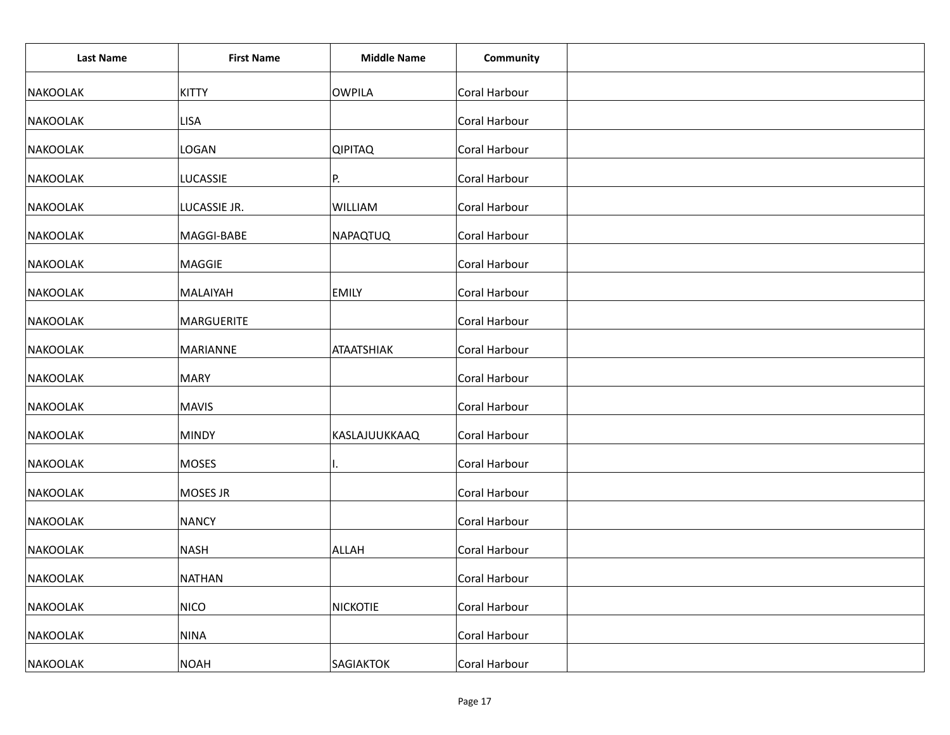| <b>Last Name</b> | <b>First Name</b> | <b>Middle Name</b> | Community     |  |
|------------------|-------------------|--------------------|---------------|--|
| NAKOOLAK         | KITTY             | OWPILA             | Coral Harbour |  |
| NAKOOLAK         | <b>LISA</b>       |                    | Coral Harbour |  |
| NAKOOLAK         | <b>LOGAN</b>      | <b>QIPITAQ</b>     | Coral Harbour |  |
| NAKOOLAK         | <b>LUCASSIE</b>   | P.                 | Coral Harbour |  |
| <b>NAKOOLAK</b>  | LUCASSIE JR.      | WILLIAM            | Coral Harbour |  |
| <b>NAKOOLAK</b>  | MAGGI-BABE        | NAPAQTUQ           | Coral Harbour |  |
| <b>NAKOOLAK</b>  | MAGGIE            |                    | Coral Harbour |  |
| <b>NAKOOLAK</b>  | MALAIYAH          | <b>EMILY</b>       | Coral Harbour |  |
| <b>NAKOOLAK</b>  | MARGUERITE        |                    | Coral Harbour |  |
| <b>NAKOOLAK</b>  | MARIANNE          | <b>ATAATSHIAK</b>  | Coral Harbour |  |
| <b>NAKOOLAK</b>  | MARY              |                    | Coral Harbour |  |
| <b>NAKOOLAK</b>  | MAVIS             |                    | Coral Harbour |  |
| <b>NAKOOLAK</b>  | MINDY             | KASLAJUUKKAAQ      | Coral Harbour |  |
| <b>NAKOOLAK</b>  | MOSES             |                    | Coral Harbour |  |
| NAKOOLAK         | MOSES JR          |                    | Coral Harbour |  |
| <b>NAKOOLAK</b>  | NANCY             |                    | Coral Harbour |  |
| NAKOOLAK         | NASH              | ALLAH              | Coral Harbour |  |
| NAKOOLAK         | NATHAN            |                    | Coral Harbour |  |
| NAKOOLAK         | NICO              | <b>NICKOTIE</b>    | Coral Harbour |  |
| <b>NAKOOLAK</b>  | NINA              |                    | Coral Harbour |  |
| NAKOOLAK         | NOAH              | SAGIAKTOK          | Coral Harbour |  |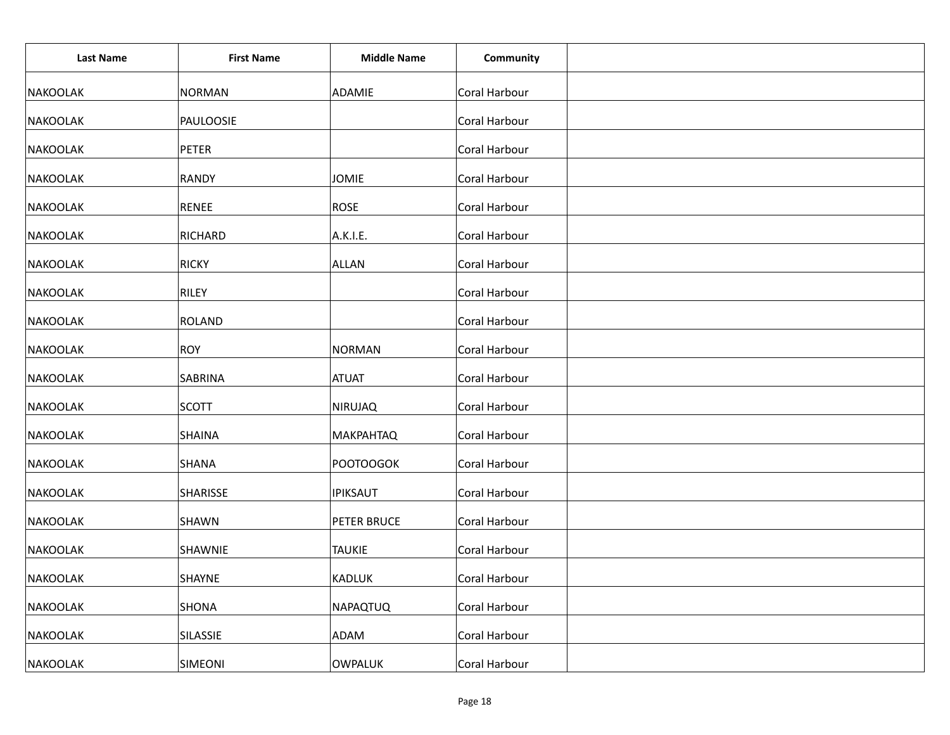| <b>Last Name</b> | <b>First Name</b> | <b>Middle Name</b> | Community     |  |
|------------------|-------------------|--------------------|---------------|--|
| NAKOOLAK         | NORMAN            | ADAMIE             | Coral Harbour |  |
| <b>NAKOOLAK</b>  | PAULOOSIE         |                    | Coral Harbour |  |
| <b>NAKOOLAK</b>  | PETER             |                    | Coral Harbour |  |
| <b>NAKOOLAK</b>  | RANDY             | <b>JOMIE</b>       | Coral Harbour |  |
| <b>NAKOOLAK</b>  | RENEE             | ROSE               | Coral Harbour |  |
| <b>NAKOOLAK</b>  | RICHARD           | A.K.I.E.           | Coral Harbour |  |
| <b>NAKOOLAK</b>  | <b>RICKY</b>      | ALLAN              | Coral Harbour |  |
| <b>NAKOOLAK</b>  | RILEY             |                    | Coral Harbour |  |
| <b>NAKOOLAK</b>  | ROLAND            |                    | Coral Harbour |  |
| <b>NAKOOLAK</b>  | ROY               | NORMAN             | Coral Harbour |  |
| <b>NAKOOLAK</b>  | SABRINA           | <b>ATUAT</b>       | Coral Harbour |  |
| <b>NAKOOLAK</b>  | <b>SCOTT</b>      | NIRUJAQ            | Coral Harbour |  |
| NAKOOLAK         | SHAINA            | MAKPAHTAQ          | Coral Harbour |  |
| <b>NAKOOLAK</b>  | SHANA             | POOTOOGOK          | Coral Harbour |  |
| NAKOOLAK         | SHARISSE          | <b>IPIKSAUT</b>    | Coral Harbour |  |
| <b>NAKOOLAK</b>  | SHAWN             | <b>PETER BRUCE</b> | Coral Harbour |  |
| NAKOOLAK         | SHAWNIE           | <b>TAUKIE</b>      | Coral Harbour |  |
| NAKOOLAK         | SHAYNE            | KADLUK             | Coral Harbour |  |
| <b>NAKOOLAK</b>  | SHONA             | NAPAQTUQ           | Coral Harbour |  |
| <b>NAKOOLAK</b>  | SILASSIE          | ADAM               | Coral Harbour |  |
| NAKOOLAK         | SIMEONI           | OWPALUK            | Coral Harbour |  |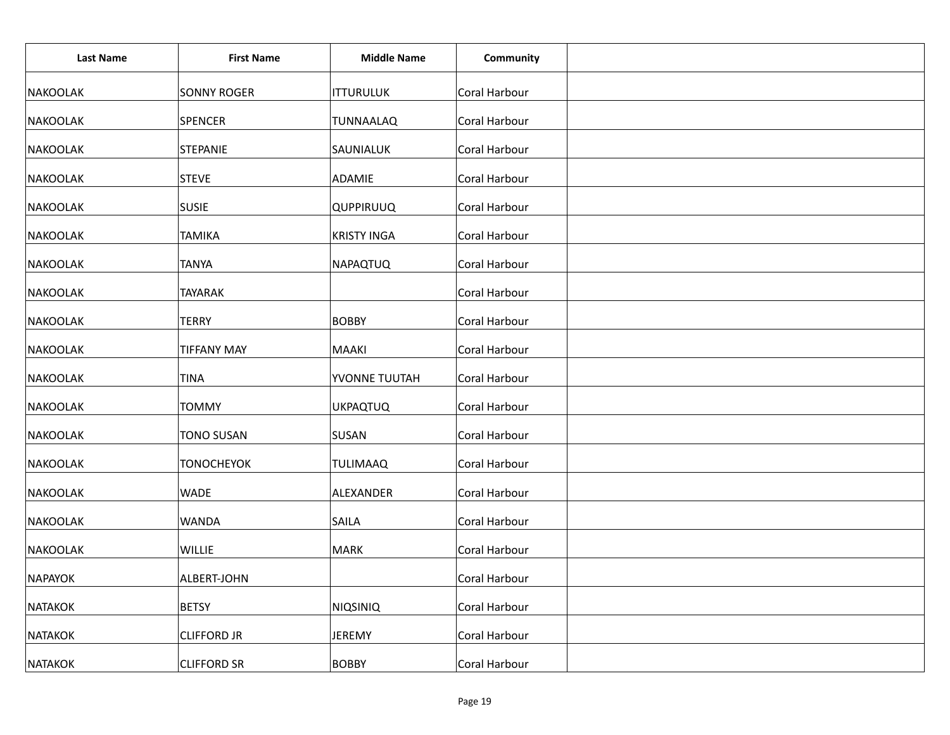| <b>Last Name</b> | <b>First Name</b>  | <b>Middle Name</b> | Community     |  |
|------------------|--------------------|--------------------|---------------|--|
| NAKOOLAK         | <b>SONNY ROGER</b> | <b>ITTURULUK</b>   | Coral Harbour |  |
| NAKOOLAK         | SPENCER            | <b>TUNNAALAQ</b>   | Coral Harbour |  |
| <b>NAKOOLAK</b>  | STEPANIE           | SAUNIALUK          | Coral Harbour |  |
| <b>NAKOOLAK</b>  | <b>STEVE</b>       | ADAMIE             | Coral Harbour |  |
| <b>NAKOOLAK</b>  | <b>SUSIE</b>       | QUPPIRUUQ          | Coral Harbour |  |
| <b>NAKOOLAK</b>  | <b>TAMIKA</b>      | <b>KRISTY INGA</b> | Coral Harbour |  |
| <b>NAKOOLAK</b>  | <b>TANYA</b>       | NAPAQTUQ           | Coral Harbour |  |
| <b>NAKOOLAK</b>  | <b>TAYARAK</b>     |                    | Coral Harbour |  |
| <b>NAKOOLAK</b>  | <b>TERRY</b>       | <b>BOBBY</b>       | Coral Harbour |  |
| <b>NAKOOLAK</b>  | <b>TIFFANY MAY</b> | MAAKI              | Coral Harbour |  |
| <b>NAKOOLAK</b>  | TINA               | YVONNE TUUTAH      | Coral Harbour |  |
| <b>NAKOOLAK</b>  | <b>TOMMY</b>       | <b>UKPAQTUQ</b>    | Coral Harbour |  |
| <b>NAKOOLAK</b>  | <b>TONO SUSAN</b>  | SUSAN              | Coral Harbour |  |
| <b>NAKOOLAK</b>  | <b>TONOCHEYOK</b>  | <b>TULIMAAQ</b>    | Coral Harbour |  |
| <b>NAKOOLAK</b>  | <b>WADE</b>        | ALEXANDER          | Coral Harbour |  |
| <b>NAKOOLAK</b>  | WANDA              | <b>SAILA</b>       | Coral Harbour |  |
| NAKOOLAK         | WILLIE             | MARK               | Coral Harbour |  |
| NAPAYOK          | ALBERT-JOHN        |                    | Coral Harbour |  |
| NATAKOK          | <b>BETSY</b>       | NIQSINIQ           | Coral Harbour |  |
| NATAKOK          | <b>CLIFFORD JR</b> | JEREMY             | Coral Harbour |  |
| NATAKOK          | <b>CLIFFORD SR</b> | <b>BOBBY</b>       | Coral Harbour |  |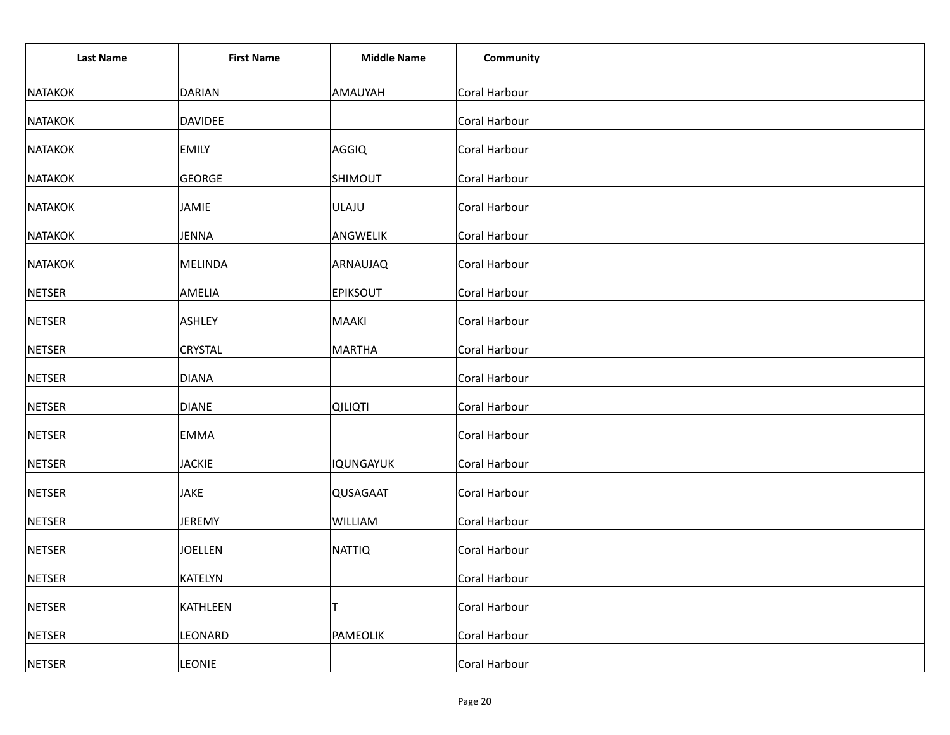| <b>Last Name</b> | <b>First Name</b> | <b>Middle Name</b> | Community     |  |
|------------------|-------------------|--------------------|---------------|--|
| NATAKOK          | DARIAN            | AMAUYAH            | Coral Harbour |  |
| NATAKOK          | DAVIDEE           |                    | Coral Harbour |  |
| NATAKOK          | <b>EMILY</b>      | AGGIQ              | Coral Harbour |  |
| NATAKOK          | GEORGE            | SHIMOUT            | Coral Harbour |  |
| NATAKOK          | JAMIE             | ULAJU              | Coral Harbour |  |
| NATAKOK          | <b>JENNA</b>      | ANGWELIK           | Coral Harbour |  |
| NATAKOK          | MELINDA           | ARNAUJAQ           | Coral Harbour |  |
| NETSER           | AMELIA            | <b>EPIKSOUT</b>    | Coral Harbour |  |
| NETSER           | ASHLEY            | <b>MAAKI</b>       | Coral Harbour |  |
| NETSER           | <b>CRYSTAL</b>    | <b>MARTHA</b>      | Coral Harbour |  |
| NETSER           | DIANA             |                    | Coral Harbour |  |
| NETSER           | DIANE             | <b>QILIQTI</b>     | Coral Harbour |  |
| NETSER           | <b>EMMA</b>       |                    | Coral Harbour |  |
| NETSER           | <b>JACKIE</b>     | <b>IQUNGAYUK</b>   | Coral Harbour |  |
| NETSER           | <b>JAKE</b>       | <b>QUSAGAAT</b>    | Coral Harbour |  |
| NETSER           | JEREMY            | <b>WILLIAM</b>     | Coral Harbour |  |
| NETSER           | <b>JOELLEN</b>    | <b>NATTIQ</b>      | Coral Harbour |  |
| NETSER           | Katelyn           |                    | Coral Harbour |  |
| NETSER           | KATHLEEN          |                    | Coral Harbour |  |
| NETSER           | LEONARD           | <b>PAMEOLIK</b>    | Coral Harbour |  |
| NETSER           | <b>LEONIE</b>     |                    | Coral Harbour |  |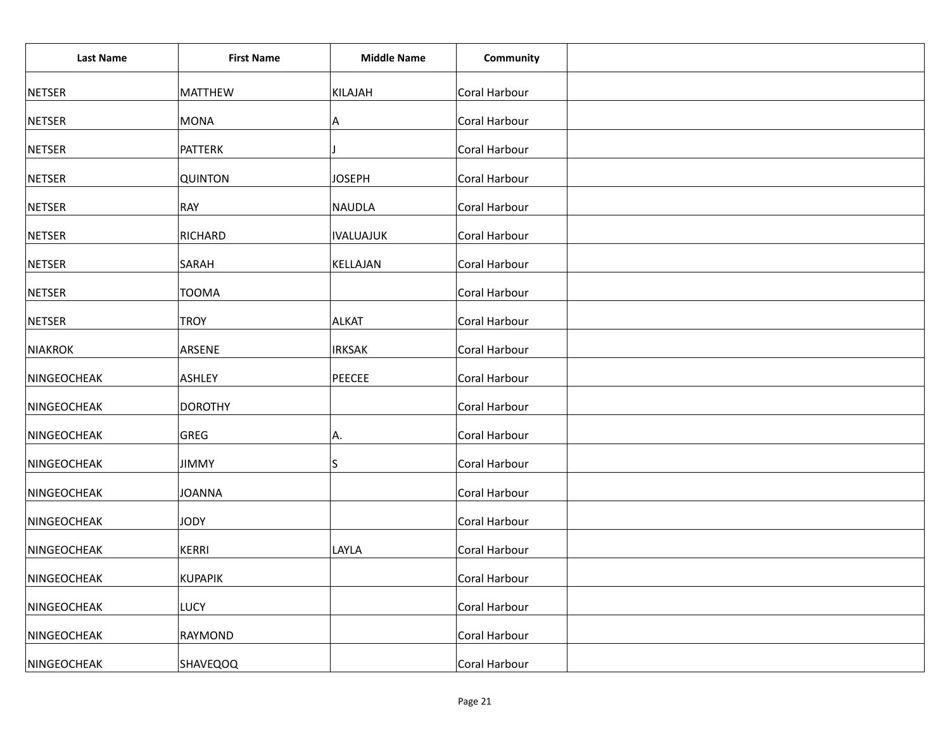| <b>Last Name</b> | <b>First Name</b> | <b>Middle Name</b> | Community     |  |
|------------------|-------------------|--------------------|---------------|--|
| NETSER           | MATTHEW           | KILAJAH            | Coral Harbour |  |
| NETSER           | MONA              | A                  | Coral Harbour |  |
| NETSER           | PATTERK           |                    | Coral Harbour |  |
| NETSER           | <b>QUINTON</b>    | <b>JOSEPH</b>      | Coral Harbour |  |
| NETSER           | RAY               | <b>NAUDLA</b>      | Coral Harbour |  |
| NETSER           | RICHARD           | <b>IVALUAJUK</b>   | Coral Harbour |  |
| NETSER           | SARAH             | KELLAJAN           | Coral Harbour |  |
| NETSER           | <b>TOOMA</b>      |                    | Coral Harbour |  |
| NETSER           | <b>TROY</b>       | <b>ALKAT</b>       | Coral Harbour |  |
| NIAKROK          | ARSENE            | <b>IRKSAK</b>      | Coral Harbour |  |
| NINGEOCHEAK      | ASHLEY            | <b>PEECEE</b>      | Coral Harbour |  |
| NINGEOCHEAK      | <b>DOROTHY</b>    |                    | Coral Harbour |  |
| NINGEOCHEAK      | GREG              | Α.                 | Coral Harbour |  |
| NINGEOCHEAK      | JIMMY             | S                  | Coral Harbour |  |
| NINGEOCHEAK      | JOANNA            |                    | Coral Harbour |  |
| NINGEOCHEAK      | JODY              |                    | Coral Harbour |  |
| NINGEOCHEAK      | KERRI             | LAYLA              | Coral Harbour |  |
| NINGEOCHEAK      | KUPAPIK           |                    | Coral Harbour |  |
| NINGEOCHEAK      | <b>LUCY</b>       |                    | Coral Harbour |  |
| NINGEOCHEAK      | RAYMOND           |                    | Coral Harbour |  |
| NINGEOCHEAK      | <b>SHAVEQOQ</b>   |                    | Coral Harbour |  |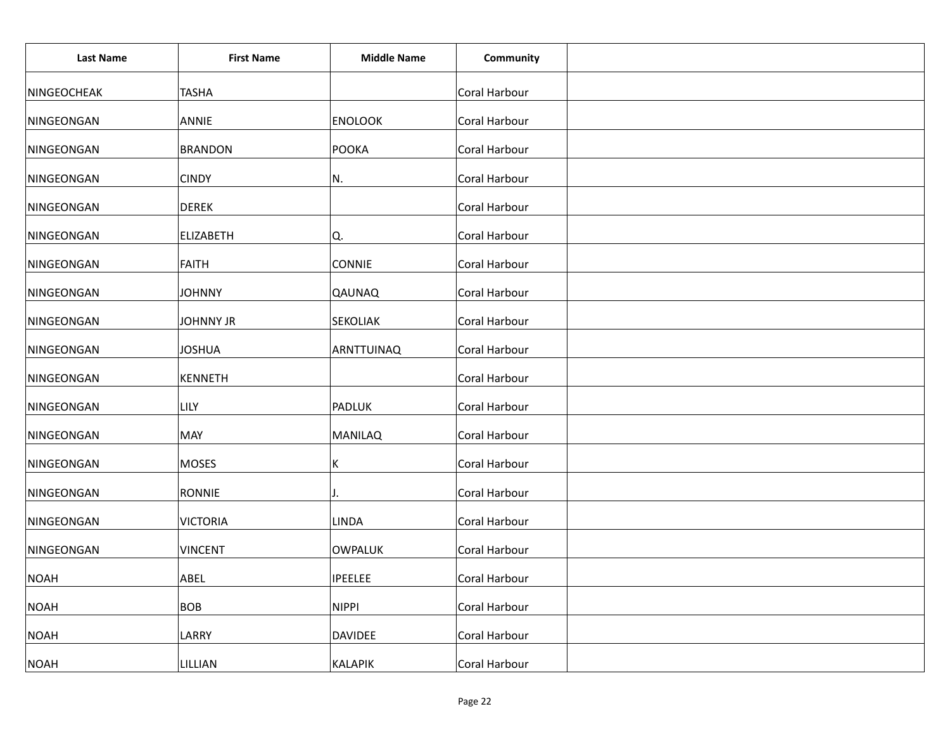| <b>Last Name</b> | <b>First Name</b> | <b>Middle Name</b> | Community            |  |
|------------------|-------------------|--------------------|----------------------|--|
| NINGEOCHEAK      | <b>TASHA</b>      |                    | Coral Harbour        |  |
| NINGEONGAN       | ANNIE             | <b>ENOLOOK</b>     | Coral Harbour        |  |
| NINGEONGAN       | <b>BRANDON</b>    | POOKA              | Coral Harbour        |  |
| NINGEONGAN       | <b>CINDY</b>      | N.                 | Coral Harbour        |  |
| NINGEONGAN       | DEREK             |                    | Coral Harbour        |  |
| NINGEONGAN       | ELIZABETH         | Q.                 | Coral Harbour        |  |
| NINGEONGAN       | FAITH             | <b>CONNIE</b>      | Coral Harbour        |  |
| NINGEONGAN       | <b>JOHNNY</b>     | QAUNAQ             | Coral Harbour        |  |
| NINGEONGAN       | <b>JOHNNY JR</b>  | <b>SEKOLIAK</b>    | Coral Harbour        |  |
| NINGEONGAN       | <b>JOSHUA</b>     | ARNTTUINAQ         | <b>Coral Harbour</b> |  |
| NINGEONGAN       | KENNETH           |                    | Coral Harbour        |  |
| NINGEONGAN       | <b>LILY</b>       | PADLUK             | Coral Harbour        |  |
| NINGEONGAN       | MAY               | <b>MANILAQ</b>     | Coral Harbour        |  |
| NINGEONGAN       | MOSES             | K                  | Coral Harbour        |  |
| NINGEONGAN       | RONNIE            |                    | Coral Harbour        |  |
| NINGEONGAN       | <b>VICTORIA</b>   | <b>LINDA</b>       | Coral Harbour        |  |
| NINGEONGAN       | <b>VINCENT</b>    | OWPALUK            | Coral Harbour        |  |
| NOAH             | ABEL              | <b>IPEELEE</b>     | Coral Harbour        |  |
| NOAH             | BOB               | NIPPI              | Coral Harbour        |  |
| NOAH             | LARRY             | DAVIDEE            | Coral Harbour        |  |
| NOAH             | LILLIAN           | KALAPIK            | Coral Harbour        |  |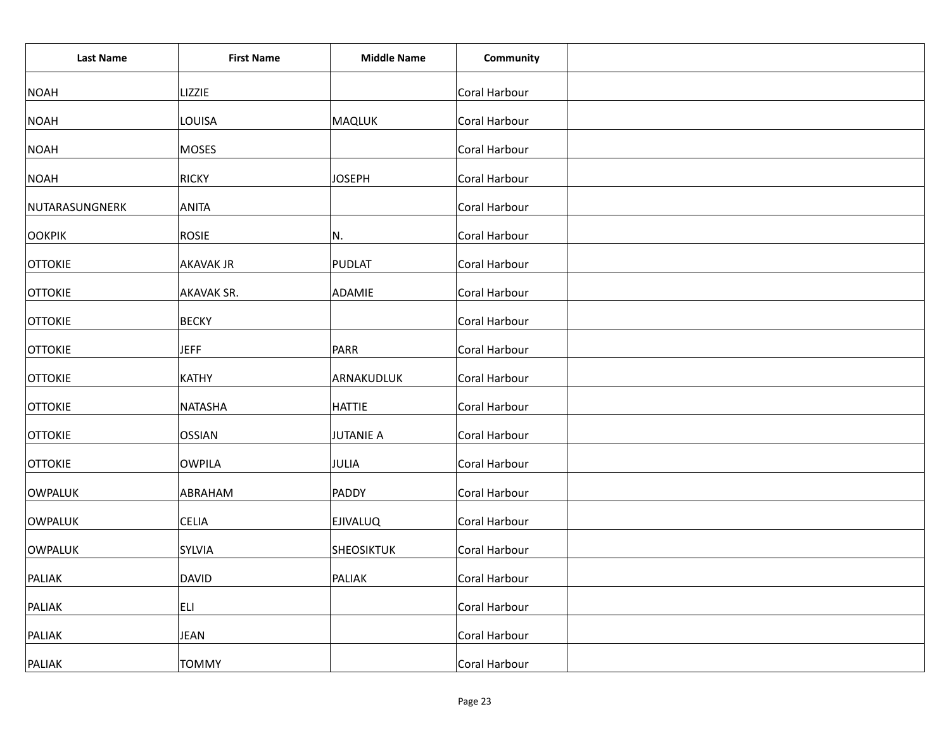| <b>Last Name</b> | <b>First Name</b> | <b>Middle Name</b> | Community     |  |
|------------------|-------------------|--------------------|---------------|--|
| NOAH             | LIZZIE            |                    | Coral Harbour |  |
| NOAH             | LOUISA            | MAQLUK             | Coral Harbour |  |
| NOAH             | MOSES             |                    | Coral Harbour |  |
| NOAH             | RICKY             | <b>JOSEPH</b>      | Coral Harbour |  |
| NUTARASUNGNERK   | ANITA             |                    | Coral Harbour |  |
| <b>OOKPIK</b>    | ROSIE             | N.                 | Coral Harbour |  |
| <b>OTTOKIE</b>   | <b>AKAVAK JR</b>  | <b>PUDLAT</b>      | Coral Harbour |  |
| <b>OTTOKIE</b>   | AKAVAK SR.        | <b>ADAMIE</b>      | Coral Harbour |  |
| <b>OTTOKIE</b>   | <b>BECKY</b>      |                    | Coral Harbour |  |
| <b>OTTOKIE</b>   | JEFF              | <b>PARR</b>        | Coral Harbour |  |
| <b>OTTOKIE</b>   | KATHY             | ARNAKUDLUK         | Coral Harbour |  |
| <b>OTTOKIE</b>   | NATASHA           | <b>HATTIE</b>      | Coral Harbour |  |
| <b>OTTOKIE</b>   | OSSIAN            | <b>JUTANIE A</b>   | Coral Harbour |  |
| <b>OTTOKIE</b>   | OWPILA            | JULIA              | Coral Harbour |  |
| OWPALUK          | ABRAHAM           | <b>PADDY</b>       | Coral Harbour |  |
| OWPALUK          | <b>CELIA</b>      | <b>EJIVALUQ</b>    | Coral Harbour |  |
| OWPALUK          | <b>SYLVIA</b>     | <b>SHEOSIKTUK</b>  | Coral Harbour |  |
| PALIAK           | DAVID             | PALIAK             | Coral Harbour |  |
| PALIAK           | ELI.              |                    | Coral Harbour |  |
| PALIAK           | JEAN              |                    | Coral Harbour |  |
| PALIAK           | <b>TOMMY</b>      |                    | Coral Harbour |  |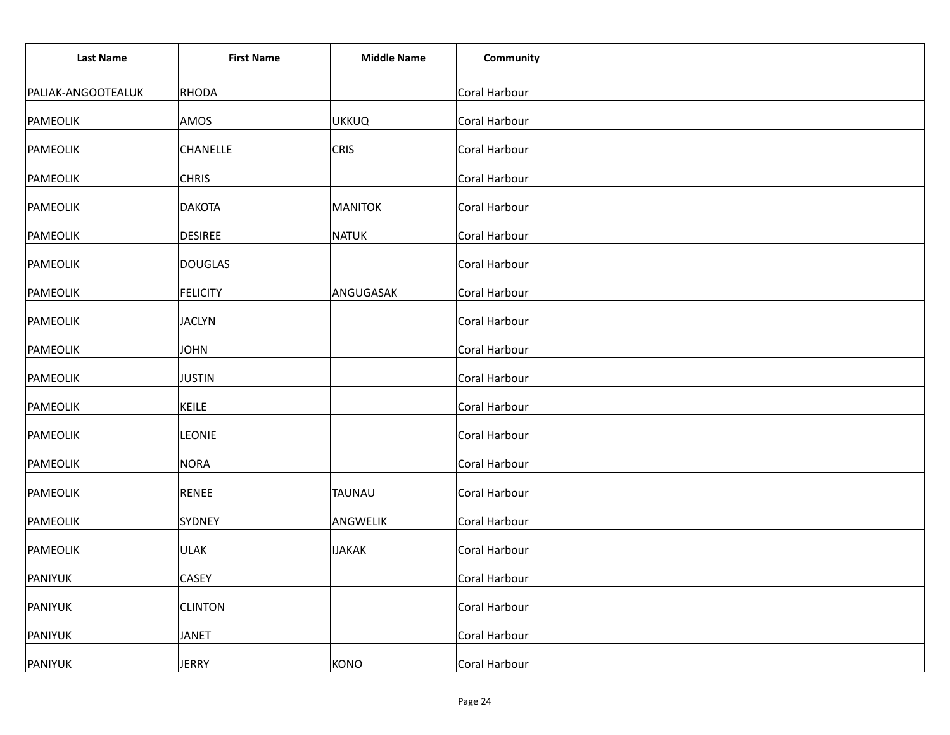| <b>Last Name</b>   | <b>First Name</b> | <b>Middle Name</b> | Community     |  |
|--------------------|-------------------|--------------------|---------------|--|
| PALIAK-ANGOOTEALUK | RHODA             |                    | Coral Harbour |  |
| PAMEOLIK           | AMOS              | <b>UKKUQ</b>       | Coral Harbour |  |
| PAMEOLIK           | <b>CHANELLE</b>   | <b>CRIS</b>        | Coral Harbour |  |
| PAMEOLIK           | <b>CHRIS</b>      |                    | Coral Harbour |  |
| PAMEOLIK           | <b>DAKOTA</b>     | MANITOK            | Coral Harbour |  |
| PAMEOLIK           | <b>DESIREE</b>    | <b>NATUK</b>       | Coral Harbour |  |
| PAMEOLIK           | DOUGLAS           |                    | Coral Harbour |  |
| PAMEOLIK           | FELICITY          | ANGUGASAK          | Coral Harbour |  |
| PAMEOLIK           | <b>JACLYN</b>     |                    | Coral Harbour |  |
| PAMEOLIK           | <b>JOHN</b>       |                    | Coral Harbour |  |
| PAMEOLIK           | <b>JUSTIN</b>     |                    | Coral Harbour |  |
| PAMEOLIK           | KEILE             |                    | Coral Harbour |  |
| PAMEOLIK           | <b>LEONIE</b>     |                    | Coral Harbour |  |
| PAMEOLIK           | NORA              |                    | Coral Harbour |  |
| PAMEOLIK           | RENEE             | <b>TAUNAU</b>      | Coral Harbour |  |
| PAMEOLIK           | SYDNEY            | ANGWELIK           | Coral Harbour |  |
| PAMEOLIK           | ULAK              | <b>IJAKAK</b>      | Coral Harbour |  |
| PANIYUK            | <b>CASEY</b>      |                    | Coral Harbour |  |
| PANIYUK            | <b>CLINTON</b>    |                    | Coral Harbour |  |
| PANIYUK            | JANET             |                    | Coral Harbour |  |
| PANIYUK            | JERRY             | KONO               | Coral Harbour |  |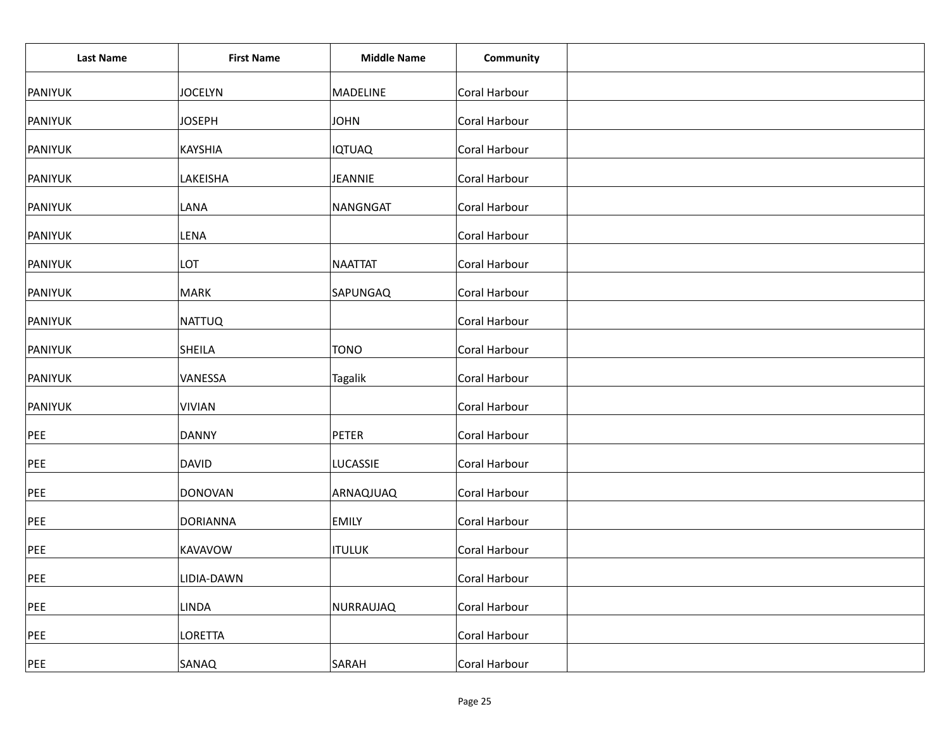| <b>Last Name</b> | <b>First Name</b> | <b>Middle Name</b> | Community     |  |
|------------------|-------------------|--------------------|---------------|--|
| PANIYUK          | <b>JOCELYN</b>    | MADELINE           | Coral Harbour |  |
| PANIYUK          | <b>JOSEPH</b>     | <b>JOHN</b>        | Coral Harbour |  |
| PANIYUK          | KAYSHIA           | <b>IQTUAQ</b>      | Coral Harbour |  |
| PANIYUK          | <b>LAKEISHA</b>   | <b>JEANNIE</b>     | Coral Harbour |  |
| PANIYUK          | LANA              | <b>NANGNGAT</b>    | Coral Harbour |  |
| PANIYUK          | LENA              |                    | Coral Harbour |  |
| PANIYUK          | LOT               | <b>NAATTAT</b>     | Coral Harbour |  |
| PANIYUK          | MARK              | SAPUNGAQ           | Coral Harbour |  |
| PANIYUK          | NATTUQ            |                    | Coral Harbour |  |
| PANIYUK          | <b>SHEILA</b>     | <b>TONO</b>        | Coral Harbour |  |
| PANIYUK          | VANESSA           | <b>Tagalik</b>     | Coral Harbour |  |
| PANIYUK          | <b>VIVIAN</b>     |                    | Coral Harbour |  |
| PEE              | DANNY             | <b>PETER</b>       | Coral Harbour |  |
| PEE              | DAVID             | <b>LUCASSIE</b>    | Coral Harbour |  |
| PEE              | DONOVAN           | ARNAQJUAQ          | Coral Harbour |  |
| PEE              | DORIANNA          | <b>EMILY</b>       | Coral Harbour |  |
| PEE              | KAVAVOW           | <b>ITULUK</b>      | Coral Harbour |  |
| PEE              | LIDIA-DAWN        |                    | Coral Harbour |  |
| PEE              | LINDA             | NURRAUJAQ          | Coral Harbour |  |
| PEE              | LORETTA           |                    | Coral Harbour |  |
| PEE              | SANAQ             | SARAH              | Coral Harbour |  |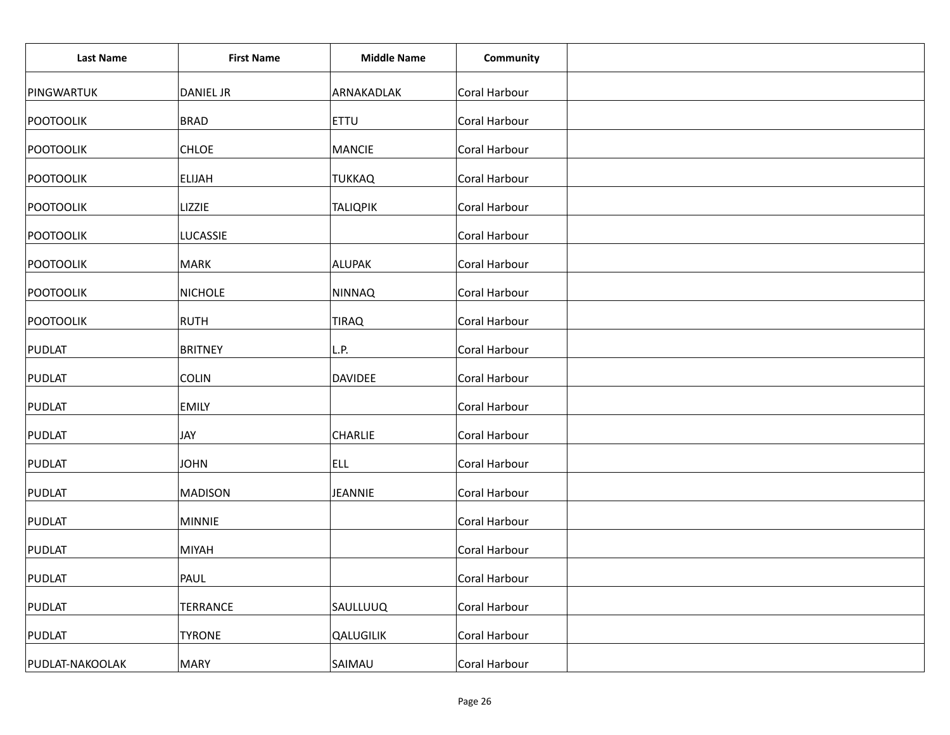| <b>Last Name</b> | <b>First Name</b> | <b>Middle Name</b> | Community     |  |
|------------------|-------------------|--------------------|---------------|--|
| PINGWARTUK       | <b>DANIEL JR</b>  | ARNAKADLAK         | Coral Harbour |  |
| <b>POOTOOLIK</b> | <b>BRAD</b>       | <b>ETTU</b>        | Coral Harbour |  |
| <b>POOTOOLIK</b> | <b>CHLOE</b>      | MANCIE             | Coral Harbour |  |
| <b>POOTOOLIK</b> | <b>ELIJAH</b>     | <b>TUKKAQ</b>      | Coral Harbour |  |
| <b>POOTOOLIK</b> | LIZZIE            | <b>TALIQPIK</b>    | Coral Harbour |  |
| <b>POOTOOLIK</b> | LUCASSIE          |                    | Coral Harbour |  |
| <b>POOTOOLIK</b> | MARK              | <b>ALUPAK</b>      | Coral Harbour |  |
| <b>POOTOOLIK</b> | NICHOLE           | NINNAQ             | Coral Harbour |  |
| <b>POOTOOLIK</b> | <b>RUTH</b>       | <b>TIRAQ</b>       | Coral Harbour |  |
| PUDLAT           | <b>BRITNEY</b>    | L.P.               | Coral Harbour |  |
| PUDLAT           | <b>COLIN</b>      | <b>DAVIDEE</b>     | Coral Harbour |  |
| PUDLAT           | <b>EMILY</b>      |                    | Coral Harbour |  |
| PUDLAT           | <b>JAY</b>        | <b>CHARLIE</b>     | Coral Harbour |  |
| PUDLAT           | <b>JOHN</b>       | ELL                | Coral Harbour |  |
| PUDLAT           | MADISON           | JEANNIE            | Coral Harbour |  |
| PUDLAT           | MINNIE            |                    | Coral Harbour |  |
| PUDLAT           | MIYAH             |                    | Coral Harbour |  |
| PUDLAT           | PAUL              |                    | Coral Harbour |  |
| PUDLAT           | TERRANCE          | SAULLUUQ           | Coral Harbour |  |
| PUDLAT           | <b>TYRONE</b>     | QALUGILIK          | Coral Harbour |  |
| PUDLAT-NAKOOLAK  | MARY              | SAIMAU             | Coral Harbour |  |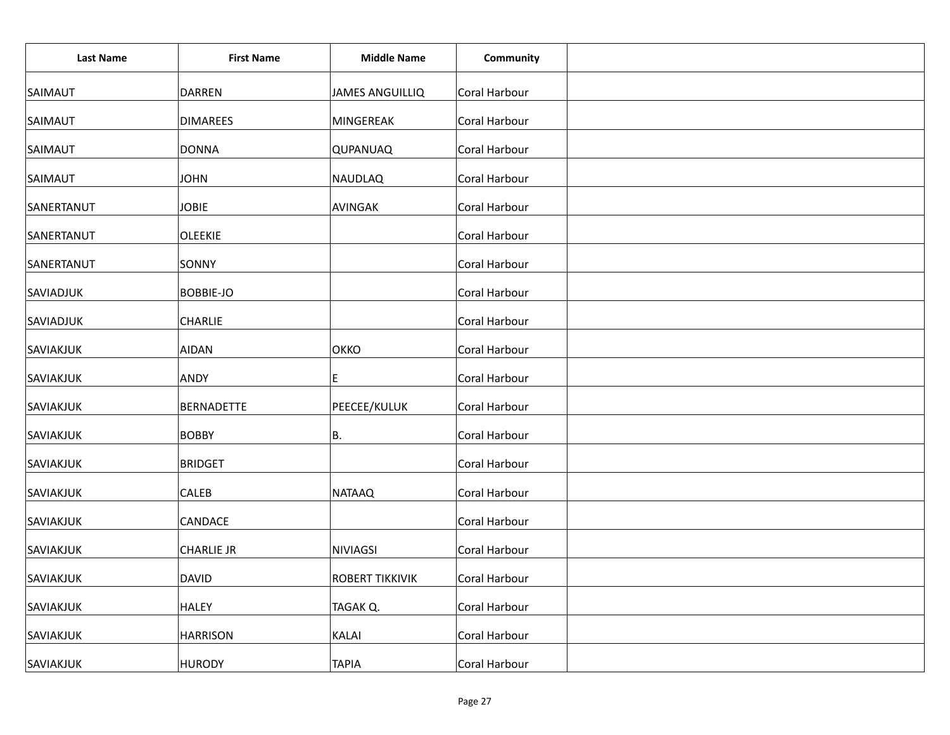| <b>Last Name</b> | <b>First Name</b> | <b>Middle Name</b>     | Community     |  |
|------------------|-------------------|------------------------|---------------|--|
| SAIMAUT          | <b>DARREN</b>     | <b>JAMES ANGUILLIQ</b> | Coral Harbour |  |
| SAIMAUT          | DIMAREES          | <b>MINGEREAK</b>       | Coral Harbour |  |
| SAIMAUT          | DONNA             | <b>QUPANUAQ</b>        | Coral Harbour |  |
| SAIMAUT          | <b>JOHN</b>       | <b>NAUDLAQ</b>         | Coral Harbour |  |
| SANERTANUT       | <b>JOBIE</b>      | AVINGAK                | Coral Harbour |  |
| SANERTANUT       | OLEEKIE           |                        | Coral Harbour |  |
| SANERTANUT       | SONNY             |                        | Coral Harbour |  |
| SAVIADJUK        | <b>BOBBIE-JO</b>  |                        | Coral Harbour |  |
| SAVIADJUK        | CHARLIE           |                        | Coral Harbour |  |
| SAVIAKJUK        | AIDAN             | OKKO                   | Coral Harbour |  |
| SAVIAKJUK        | ANDY              | E                      | Coral Harbour |  |
| SAVIAKJUK        | BERNADETTE        | PEECEE/KULUK           | Coral Harbour |  |
| SAVIAKJUK        | <b>BOBBY</b>      | В.                     | Coral Harbour |  |
| SAVIAKJUK        | <b>BRIDGET</b>    |                        | Coral Harbour |  |
| SAVIAKJUK        | <b>CALEB</b>      | <b>NATAAQ</b>          | Coral Harbour |  |
| SAVIAKJUK        | CANDACE           |                        | Coral Harbour |  |
| SAVIAKJUK        | <b>CHARLIE JR</b> | <b>NIVIAGSI</b>        | Coral Harbour |  |
| SAVIAKJUK        | David             | <b>ROBERT TIKKIVIK</b> | Coral Harbour |  |
| SAVIAKJUK        | HALEY             | TAGAK Q.               | Coral Harbour |  |
| SAVIAKJUK        | <b>HARRISON</b>   | <b>KALAI</b>           | Coral Harbour |  |
| SAVIAKJUK        | <b>HURODY</b>     | <b>TAPIA</b>           | Coral Harbour |  |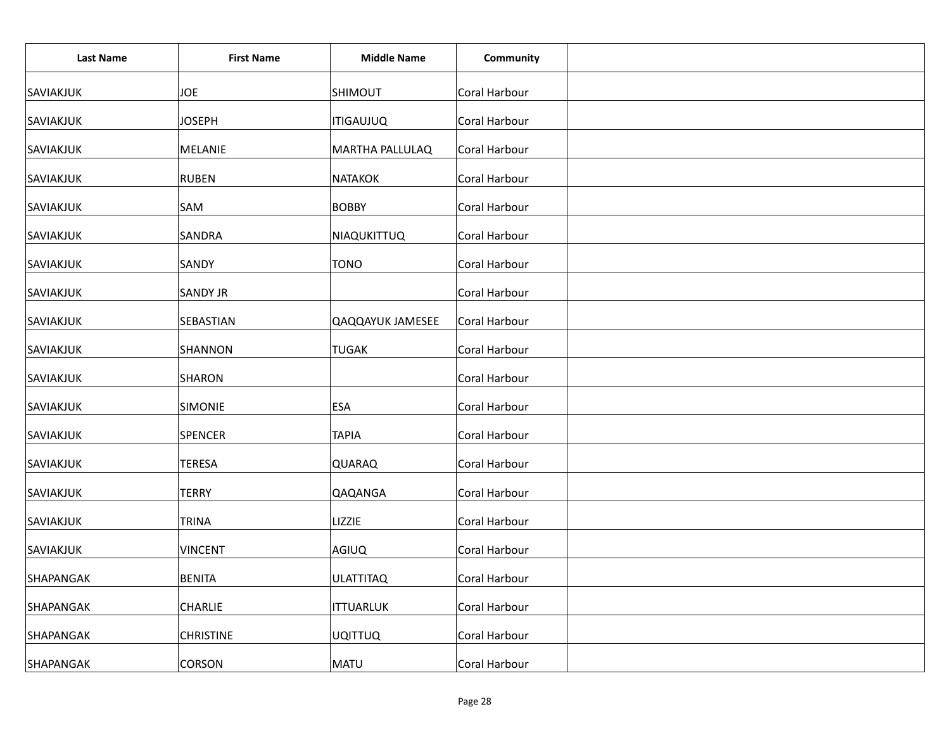| <b>Last Name</b> | <b>First Name</b> | <b>Middle Name</b> | Community     |  |
|------------------|-------------------|--------------------|---------------|--|
| SAVIAKJUK        | JOE               | <b>SHIMOUT</b>     | Coral Harbour |  |
| SAVIAKJUK        | <b>JOSEPH</b>     | ITIGAUJUQ          | Coral Harbour |  |
| SAVIAKJUK        | MELANIE           | MARTHA PALLULAQ    | Coral Harbour |  |
| SAVIAKJUK        | RUBEN             | NATAKOK            | Coral Harbour |  |
| SAVIAKJUK        | SAM               | <b>BOBBY</b>       | Coral Harbour |  |
| SAVIAKJUK        | SANDRA            | NIAQUKITTUQ        | Coral Harbour |  |
| SAVIAKJUK        | SANDY             | <b>TONO</b>        | Coral Harbour |  |
| SAVIAKJUK        | SANDY JR          |                    | Coral Harbour |  |
| SAVIAKJUK        | SEBASTIAN         | QAQQAYUK JAMESEE   | Coral Harbour |  |
| SAVIAKJUK        | SHANNON           | <b>TUGAK</b>       | Coral Harbour |  |
| SAVIAKJUK        | SHARON            |                    | Coral Harbour |  |
| SAVIAKJUK        | <b>SIMONIE</b>    | <b>ESA</b>         | Coral Harbour |  |
| SAVIAKJUK        | SPENCER           | <b>TAPIA</b>       | Coral Harbour |  |
| SAVIAKJUK        | <b>TERESA</b>     | <b>QUARAQ</b>      | Coral Harbour |  |
| SAVIAKJUK        | TERRY             | QAQANGA            | Coral Harbour |  |
| SAVIAKJUK        | TRINA             | <b>LIZZIE</b>      | Coral Harbour |  |
| SAVIAKJUK        | VINCENT           | AGIUQ              | Coral Harbour |  |
| SHAPANGAK        | BENITA            | <b>ULATTITAQ</b>   | Coral Harbour |  |
| SHAPANGAK        | <b>CHARLIE</b>    | <b>ITTUARLUK</b>   | Coral Harbour |  |
| SHAPANGAK        | <b>CHRISTINE</b>  | <b>UQITTUQ</b>     | Coral Harbour |  |
| SHAPANGAK        | <b>CORSON</b>     | MATU               | Coral Harbour |  |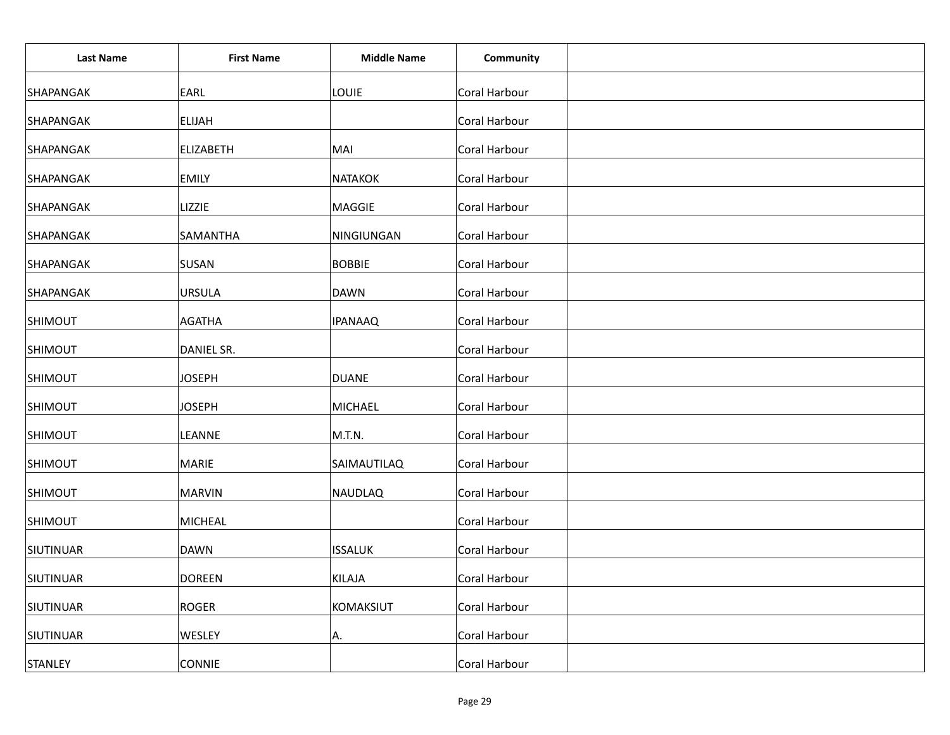| <b>Last Name</b> | <b>First Name</b> | <b>Middle Name</b> | Community     |  |
|------------------|-------------------|--------------------|---------------|--|
| SHAPANGAK        | EARL              | <b>LOUIE</b>       | Coral Harbour |  |
| SHAPANGAK        | <b>ELIJAH</b>     |                    | Coral Harbour |  |
| SHAPANGAK        | ELIZABETH         | MAI                | Coral Harbour |  |
| SHAPANGAK        | <b>EMILY</b>      | NATAKOK            | Coral Harbour |  |
| SHAPANGAK        | LIZZIE            | MAGGIE             | Coral Harbour |  |
| SHAPANGAK        | SAMANTHA          | NINGIUNGAN         | Coral Harbour |  |
| SHAPANGAK        | SUSAN             | <b>BOBBIE</b>      | Coral Harbour |  |
| SHAPANGAK        | <b>URSULA</b>     | DAWN               | Coral Harbour |  |
| SHIMOUT          | <b>AGATHA</b>     | <b>IPANAAQ</b>     | Coral Harbour |  |
| SHIMOUT          | DANIEL SR.        |                    | Coral Harbour |  |
| SHIMOUT          | <b>JOSEPH</b>     | DUANE              | Coral Harbour |  |
| SHIMOUT          | <b>JOSEPH</b>     | <b>MICHAEL</b>     | Coral Harbour |  |
| SHIMOUT          | LEANNE            | M.T.N.             | Coral Harbour |  |
| SHIMOUT          | MARIE             | SAIMAUTILAQ        | Coral Harbour |  |
| SHIMOUT          | MARVIN            | NAUDLAQ            | Coral Harbour |  |
| SHIMOUT          | MICHEAL           |                    | Coral Harbour |  |
| SIUTINUAR        | DAWN              | <b>ISSALUK</b>     | Coral Harbour |  |
| SIUTINUAR        | DOREEN            | KILAJA             | Coral Harbour |  |
| SIUTINUAR        | ROGER             | KOMAKSIUT          | Coral Harbour |  |
| SIUTINUAR        | WESLEY            | A.                 | Coral Harbour |  |
| STANLEY          | <b>CONNIE</b>     |                    | Coral Harbour |  |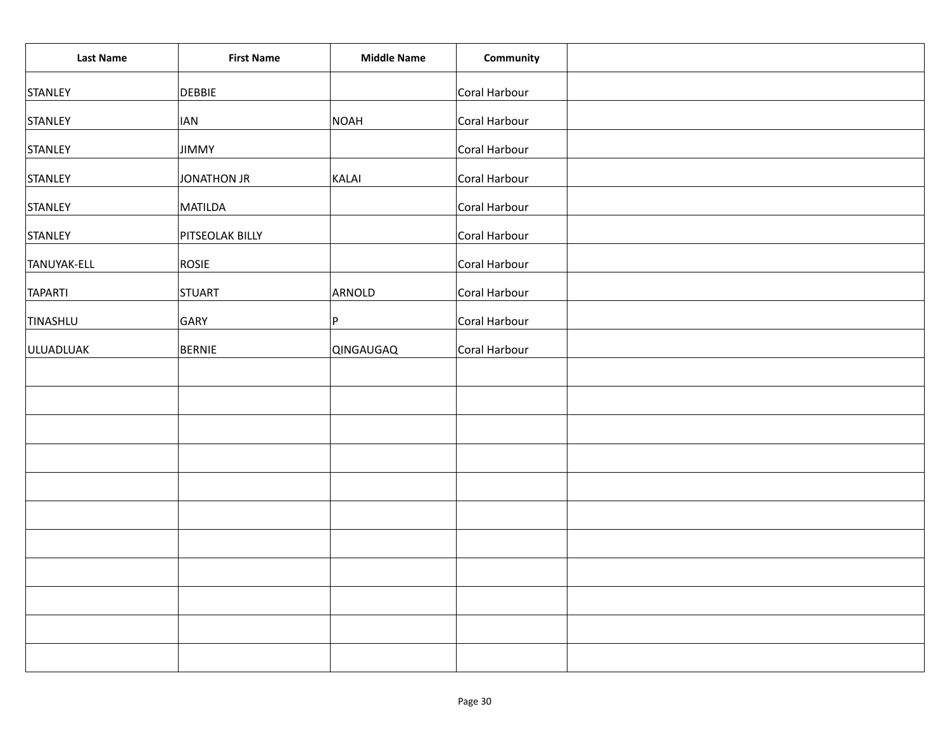| <b>Last Name</b>   | <b>First Name</b>      | <b>Middle Name</b> | Community     |  |
|--------------------|------------------------|--------------------|---------------|--|
| STANLEY            | <b>DEBBIE</b>          |                    | Coral Harbour |  |
| STANLEY            | <b>IAN</b>             | NOAH               | Coral Harbour |  |
| STANLEY            | JIMMY                  |                    | Coral Harbour |  |
| STANLEY            | JONATHON JR            | KALAI              | Coral Harbour |  |
| STANLEY            | MATILDA                |                    | Coral Harbour |  |
| <b>STANLEY</b>     | <b>PITSEOLAK BILLY</b> |                    | Coral Harbour |  |
| <b>TANUYAK-ELL</b> | <b>ROSIE</b>           |                    | Coral Harbour |  |
| <b>TAPARTI</b>     | STUART                 | ARNOLD             | Coral Harbour |  |
| TINASHLU           | GARY                   | P                  | Coral Harbour |  |
| ULUADLUAK          | BERNIE                 | QINGAUGAQ          | Coral Harbour |  |
|                    |                        |                    |               |  |
|                    |                        |                    |               |  |
|                    |                        |                    |               |  |
|                    |                        |                    |               |  |
|                    |                        |                    |               |  |
|                    |                        |                    |               |  |
|                    |                        |                    |               |  |
|                    |                        |                    |               |  |
|                    |                        |                    |               |  |
|                    |                        |                    |               |  |
|                    |                        |                    |               |  |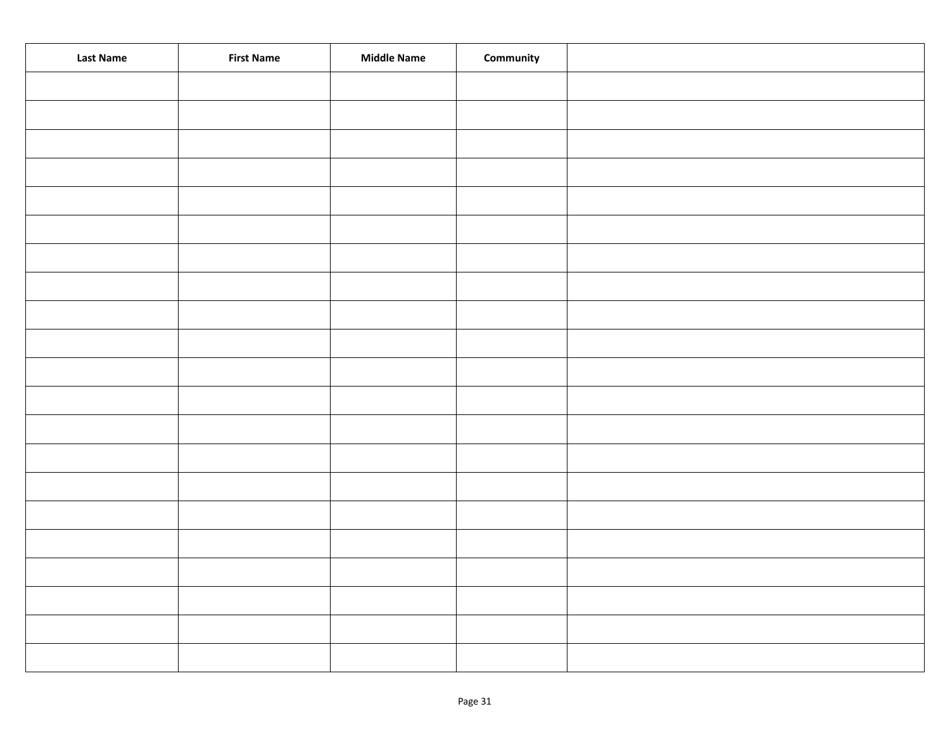| <b>Last Name</b> | <b>First Name</b> | <b>Middle Name</b> | Community |  |
|------------------|-------------------|--------------------|-----------|--|
|                  |                   |                    |           |  |
|                  |                   |                    |           |  |
|                  |                   |                    |           |  |
|                  |                   |                    |           |  |
|                  |                   |                    |           |  |
|                  |                   |                    |           |  |
|                  |                   |                    |           |  |
|                  |                   |                    |           |  |
|                  |                   |                    |           |  |
|                  |                   |                    |           |  |
|                  |                   |                    |           |  |
|                  |                   |                    |           |  |
|                  |                   |                    |           |  |
|                  |                   |                    |           |  |
|                  |                   |                    |           |  |
|                  |                   |                    |           |  |
|                  |                   |                    |           |  |
|                  |                   |                    |           |  |
|                  |                   |                    |           |  |
|                  |                   |                    |           |  |
|                  |                   |                    |           |  |